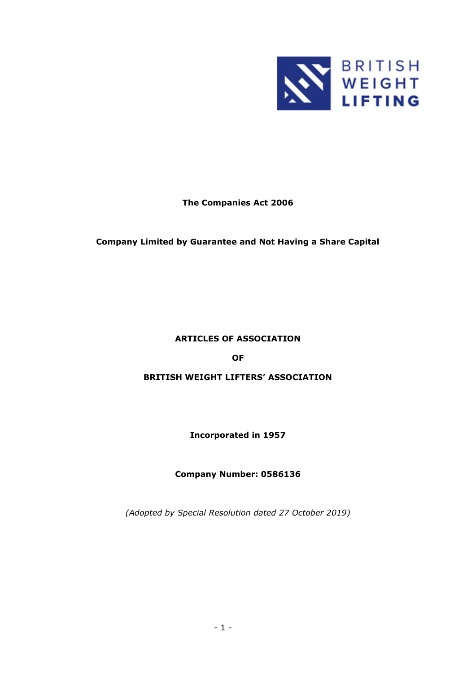

# **The Companies Act 2006**

# **Company Limited by Guarantee and Not Having a Share Capital**

# **ARTICLES OF ASSOCIATION**

### **OF**

### **BRITISH WEIGHT LIFTERS' ASSOCIATION**

### **Incorporated in 1957**

### **Company Number: 0586136**

*(Adopted by Special Resolution dated 27 October 2019)*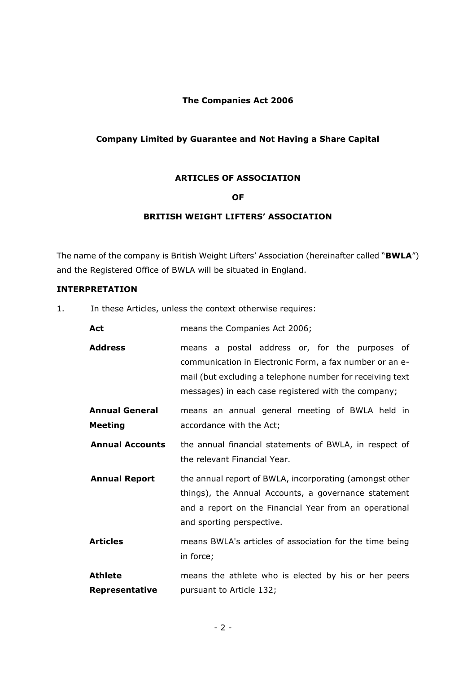# **The Companies Act 2006**

# **Company Limited by Guarantee and Not Having a Share Capital**

### **ARTICLES OF ASSOCIATION**

# **OF**

# **BRITISH WEIGHT LIFTERS' ASSOCIATION**

The name of the company is British Weight Lifters' Association (hereinafter called "**BWLA**") and the Registered Office of BWLA will be situated in England.

#### **INTERPRETATION**

1. In these Articles, unless the context otherwise requires:

| Act                                     | means the Companies Act 2006;                                                                                                                                                                                                 |
|-----------------------------------------|-------------------------------------------------------------------------------------------------------------------------------------------------------------------------------------------------------------------------------|
| <b>Address</b>                          | means a postal address or, for the purposes of<br>communication in Electronic Form, a fax number or an e-<br>mail (but excluding a telephone number for receiving text<br>messages) in each case registered with the company; |
| <b>Annual General</b><br><b>Meeting</b> | means an annual general meeting of BWLA held in<br>accordance with the Act;                                                                                                                                                   |
| <b>Annual Accounts</b>                  | the annual financial statements of BWLA, in respect of<br>the relevant Financial Year.                                                                                                                                        |
| <b>Annual Report</b>                    | the annual report of BWLA, incorporating (amongst other<br>things), the Annual Accounts, a governance statement<br>and a report on the Financial Year from an operational<br>and sporting perspective.                        |
| <b>Articles</b>                         | means BWLA's articles of association for the time being<br>in force;                                                                                                                                                          |
| <b>Athlete</b><br>Representative        | means the athlete who is elected by his or her peers<br>pursuant to Article 132;                                                                                                                                              |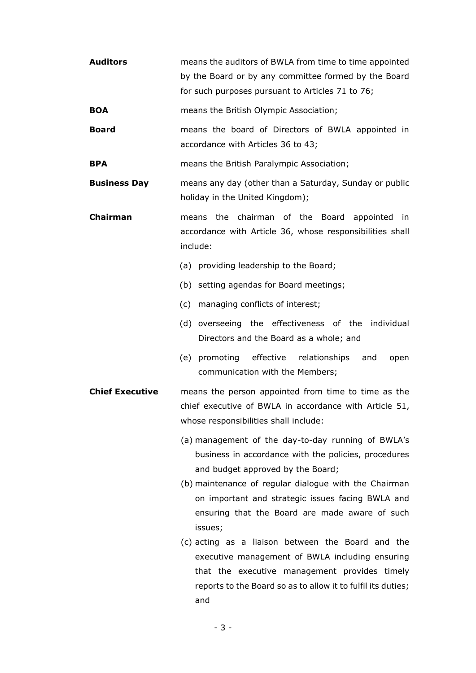| <b>Auditors</b>        | means the auditors of BWLA from time to time appointed<br>by the Board or by any committee formed by the Board<br>for such purposes pursuant to Articles 71 to 76;                                                                                                                                                                                                                                                                                                                                                                                         |
|------------------------|------------------------------------------------------------------------------------------------------------------------------------------------------------------------------------------------------------------------------------------------------------------------------------------------------------------------------------------------------------------------------------------------------------------------------------------------------------------------------------------------------------------------------------------------------------|
| <b>BOA</b>             | means the British Olympic Association;                                                                                                                                                                                                                                                                                                                                                                                                                                                                                                                     |
| <b>Board</b>           | means the board of Directors of BWLA appointed in<br>accordance with Articles 36 to 43;                                                                                                                                                                                                                                                                                                                                                                                                                                                                    |
| <b>BPA</b>             | means the British Paralympic Association;                                                                                                                                                                                                                                                                                                                                                                                                                                                                                                                  |
| <b>Business Day</b>    | means any day (other than a Saturday, Sunday or public<br>holiday in the United Kingdom);                                                                                                                                                                                                                                                                                                                                                                                                                                                                  |
| Chairman               | means the chairman of the Board appointed<br>in.<br>accordance with Article 36, whose responsibilities shall<br>include:                                                                                                                                                                                                                                                                                                                                                                                                                                   |
|                        | (a) providing leadership to the Board;                                                                                                                                                                                                                                                                                                                                                                                                                                                                                                                     |
|                        | (b) setting agendas for Board meetings;                                                                                                                                                                                                                                                                                                                                                                                                                                                                                                                    |
|                        | (c) managing conflicts of interest;                                                                                                                                                                                                                                                                                                                                                                                                                                                                                                                        |
|                        | (d) overseeing the effectiveness of the individual<br>Directors and the Board as a whole; and                                                                                                                                                                                                                                                                                                                                                                                                                                                              |
|                        | (e) promoting effective<br>relationships<br>and<br>open<br>communication with the Members;                                                                                                                                                                                                                                                                                                                                                                                                                                                                 |
| <b>Chief Executive</b> | means the person appointed from time to time as the<br>chief executive of BWLA in accordance with Article 51,<br>whose responsibilities shall include:                                                                                                                                                                                                                                                                                                                                                                                                     |
|                        | (a) management of the day-to-day running of BWLA's<br>business in accordance with the policies, procedures<br>and budget approved by the Board;<br>(b) maintenance of regular dialogue with the Chairman<br>on important and strategic issues facing BWLA and<br>ensuring that the Board are made aware of such<br>issues;<br>(c) acting as a liaison between the Board and the<br>executive management of BWLA including ensuring<br>that the executive management provides timely<br>reports to the Board so as to allow it to fulfil its duties;<br>and |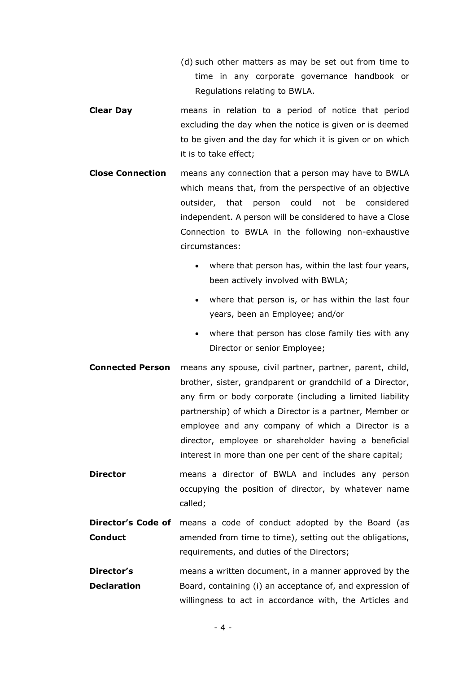- (d) such other matters as may be set out from time to time in any corporate governance handbook or Regulations relating to BWLA.
- **Clear Day** means in relation to a period of notice that period excluding the day when the notice is given or is deemed to be given and the day for which it is given or on which it is to take effect;
- **Close Connection** means any connection that a person may have to BWLA which means that, from the perspective of an objective outsider, that person could not be considered independent. A person will be considered to have a Close Connection to BWLA in the following non-exhaustive circumstances:
	- where that person has, within the last four years, been actively involved with BWLA;
	- where that person is, or has within the last four years, been an Employee; and/or
	- where that person has close family ties with any Director or senior Employee;
- **Connected Person** means any spouse, civil partner, partner, parent, child, brother, sister, grandparent or grandchild of a Director, any firm or body corporate (including a limited liability partnership) of which a Director is a partner, Member or employee and any company of which a Director is a director, employee or shareholder having a beneficial interest in more than one per cent of the share capital;
- **Director means a director of BWLA and includes any person** occupying the position of director, by whatever name called;
- **Director's Code of** means a code of conduct adopted by the Board (as **Conduct** amended from time to time), setting out the obligations, requirements, and duties of the Directors;
- **Director's Declaration** means a written document, in a manner approved by the Board, containing (i) an acceptance of, and expression of willingness to act in accordance with, the Articles and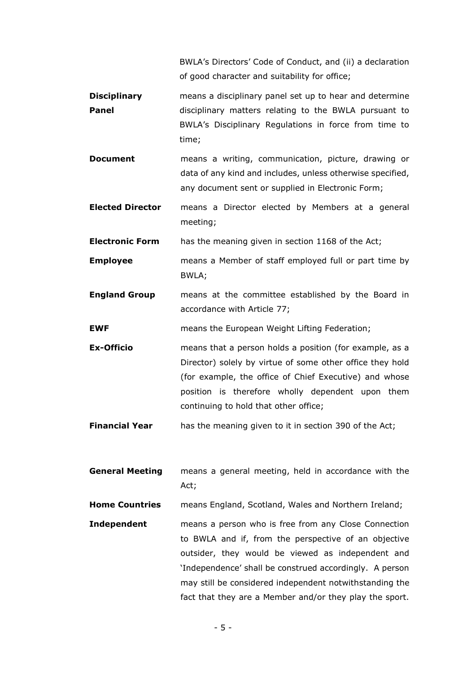BWLA's Directors' Code of Conduct, and (ii) a declaration of good character and suitability for office;

**Disciplinary Panel** means a disciplinary panel set up to hear and determine disciplinary matters relating to the BWLA pursuant to BWLA's Disciplinary Regulations in force from time to time;

**Document** means a writing, communication, picture, drawing or data of any kind and includes, unless otherwise specified, any document sent or supplied in Electronic Form;

**Elected Director** means a Director elected by Members at a general meeting;

**Electronic Form** has the meaning given in section 1168 of the Act;

- **Employee** means a Member of staff employed full or part time by BWLA;
- **England Group** means at the committee established by the Board in accordance with Article [77;](#page-26-2)

**EWF** means the European Weight Lifting Federation;

- **Ex-Officio** means that a person holds a position (for example, as a Director) solely by virtue of some other office they hold (for example, the office of Chief Executive) and whose position is therefore wholly dependent upon them continuing to hold that other office;
- **Financial Year** has the meaning given to it in section 390 of the Act;
- **General Meeting** means a general meeting, held in accordance with the Act;

**Home Countries** means England, Scotland, Wales and Northern Ireland;

**Independent means a person who is free from any Close Connection** to BWLA and if, from the perspective of an objective outsider, they would be viewed as independent and 'Independence' shall be construed accordingly. A person may still be considered independent notwithstanding the fact that they are a Member and/or they play the sport.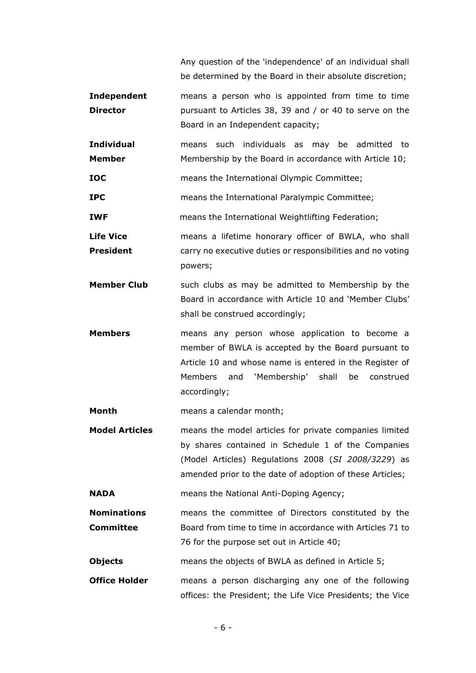Any question of the 'independence' of an individual shall be determined by the Board in their absolute discretion;

- **Independent Director** means a person who is appointed from time to time pursuant to Articles [38,](#page-18-1) [39](#page-18-2) and / or [40](#page-18-3) to serve on the Board in an Independent capacity;
- **Individual Member** means such individuals as may be admitted to Membership by the Board in accordance with Article [10;](#page-14-0)

**IOC** means the International Olympic Committee;

**IPC** means the International Paralympic Committee;

**IWF EXECUTE:** means the International Weightlifting Federation;

- **Life Vice President**  means a lifetime honorary officer of BWLA, who shall carry no executive duties or responsibilities and no voting powers;
- **Member Club** such clubs as may be admitted to Membership by the Board in accordance with Article [10](#page-14-0) and 'Member Clubs' shall be construed accordingly;
- **Members** means any person whose application to become a member of BWLA is accepted by the Board pursuant to Article [10](#page-14-0) and whose name is entered in the Register of Members and 'Membership' shall be construed accordingly;

**Month** means a calendar month;

**Model Articles** means the model articles for private companies limited by shares contained in Schedule 1 of the Companies (Model Articles) Regulations 2008 (*SI 2008/3229*) as amended prior to the date of adoption of these Articles;

**NADA** means the National Anti-Doping Agency;

**Nominations Committee**  means the committee of Directors constituted by the Board from time to time in accordance with Articles [71](#page-26-0) to [76](#page-26-1) for the purpose set out in Article [40;](#page-18-3)

**Objects** means the objects of BWLA as defined in Article [5;](#page-9-0)

**Office Holder** means a person discharging any one of the following offices: the President; the Life Vice Presidents; the Vice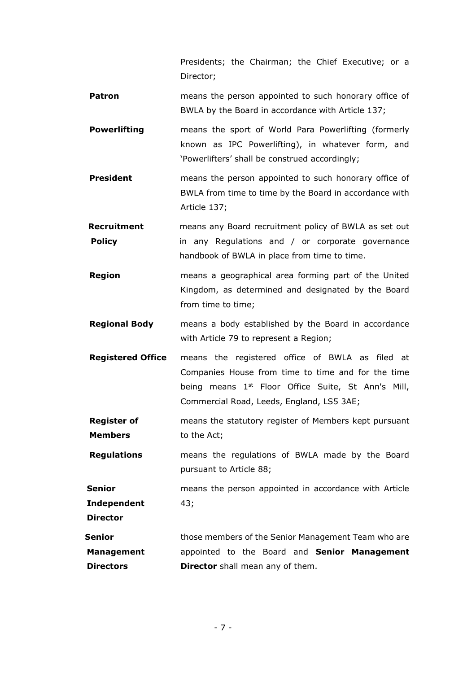Presidents; the Chairman; the Chief Executive; or a Director;

- **Patron** means the person appointed to such honorary office of BWLA by the Board in accordance with Article [137;](#page-36-0)
- **Powerlifting** means the sport of World Para Powerlifting (formerly known as IPC Powerlifting), in whatever form, and 'Powerlifters' shall be construed accordingly;
- **President** means the person appointed to such honorary office of BWLA from time to time by the Board in accordance with Article [137;](#page-36-0)
- **Recruitment Policy**  means any Board recruitment policy of BWLA as set out in any Regulations and / or corporate governance handbook of BWLA in place from time to time.
- **Region** means a geographical area forming part of the United Kingdom, as determined and designated by the Board from time to time;
- **Regional Body** means a body established by the Board in accordance with Article [79](#page-27-0) to represent a Region;
- **Registered Office** means the registered office of BWLA as filed at Companies House from time to time and for the time being means 1<sup>st</sup> Floor Office Suite, St Ann's Mill, Commercial Road, Leeds, England, L[S5](#page-9-0) 3AE;
- **Register of Members** means the statutory register of Members kept pursuant to the Act;

**Regulations** means the regulations of BWLA made by the Board pursuant to Article [88;](#page-28-0)

**Senior Independent**  means the person appointed in accordance with Article [43;](#page-19-0)

**Director**

**Senior** 

**Management Directors** those members of the Senior Management Team who are appointed to the Board and **Senior Management Director** shall mean any of them.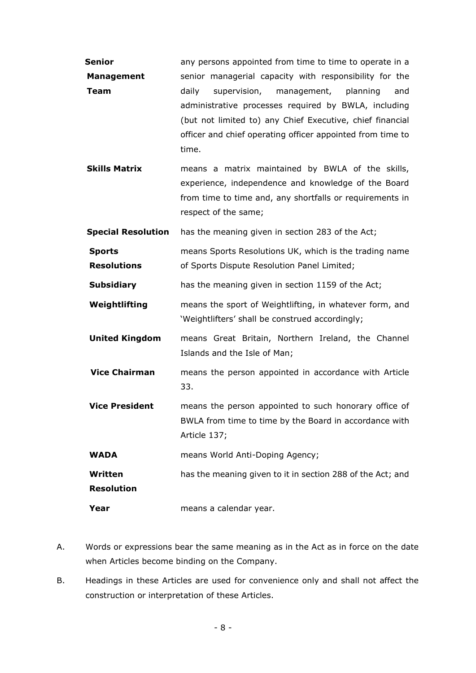| Senior                              | any persons appointed from time to time to operate in a                                                                                                                                                                                                                                                       |
|-------------------------------------|---------------------------------------------------------------------------------------------------------------------------------------------------------------------------------------------------------------------------------------------------------------------------------------------------------------|
| <b>Management</b><br><b>Team</b>    | senior managerial capacity with responsibility for the<br>supervision,<br>management,<br>planning<br>daily<br>and<br>administrative processes required by BWLA, including<br>(but not limited to) any Chief Executive, chief financial<br>officer and chief operating officer appointed from time to<br>time. |
| <b>Skills Matrix</b>                | means a matrix maintained by BWLA of the skills,<br>experience, independence and knowledge of the Board<br>from time to time and, any shortfalls or requirements in<br>respect of the same;                                                                                                                   |
| <b>Special Resolution</b>           | has the meaning given in section 283 of the Act;                                                                                                                                                                                                                                                              |
| <b>Sports</b><br><b>Resolutions</b> | means Sports Resolutions UK, which is the trading name<br>of Sports Dispute Resolution Panel Limited;                                                                                                                                                                                                         |
| <b>Subsidiary</b>                   | has the meaning given in section 1159 of the Act;                                                                                                                                                                                                                                                             |
| Weightlifting                       | means the sport of Weightlifting, in whatever form, and<br>'Weightlifters' shall be construed accordingly;                                                                                                                                                                                                    |
| <b>United Kingdom</b>               | means Great Britain, Northern Ireland, the Channel<br>Islands and the Isle of Man;                                                                                                                                                                                                                            |
| <b>Vice Chairman</b>                | means the person appointed in accordance with Article<br>33.                                                                                                                                                                                                                                                  |
| <b>Vice President</b>               | means the person appointed to such honorary office of<br>BWLA from time to time by the Board in accordance with<br>Article 137;                                                                                                                                                                               |
| <b>WADA</b>                         | means World Anti-Doping Agency;                                                                                                                                                                                                                                                                               |
| Written<br><b>Resolution</b>        | has the meaning given to it in section 288 of the Act; and                                                                                                                                                                                                                                                    |
| Year                                | means a calendar year.                                                                                                                                                                                                                                                                                        |

- A. Words or expressions bear the same meaning as in the Act as in force on the date when Articles become binding on the Company.
- B. Headings in these Articles are used for convenience only and shall not affect the construction or interpretation of these Articles.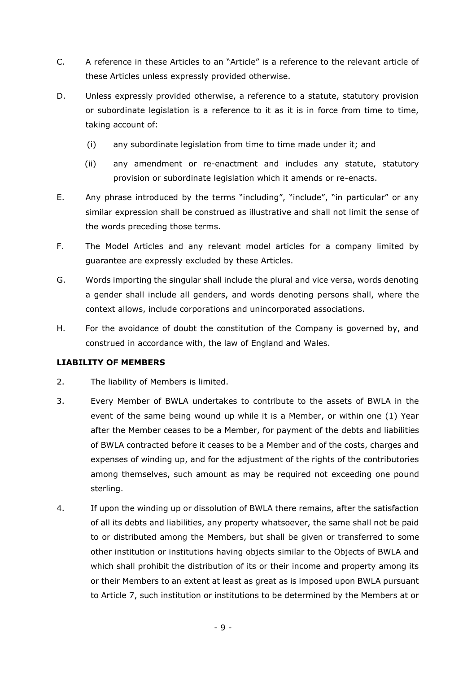- C. A reference in these Articles to an "Article" is a reference to the relevant article of these Articles unless expressly provided otherwise.
- D. Unless expressly provided otherwise, a reference to a statute, statutory provision or subordinate legislation is a reference to it as it is in force from time to time, taking account of:
	- (i) any subordinate legislation from time to time made under it; and
	- (ii) any amendment or re-enactment and includes any statute, statutory provision or subordinate legislation which it amends or re-enacts.
- E. Any phrase introduced by the terms "including", "include", "in particular" or any similar expression shall be construed as illustrative and shall not limit the sense of the words preceding those terms.
- F. The Model Articles and any relevant model articles for a company limited by guarantee are expressly excluded by these Articles.
- G. Words importing the singular shall include the plural and vice versa, words denoting a gender shall include all genders, and words denoting persons shall, where the context allows, include corporations and unincorporated associations.
- H. For the avoidance of doubt the constitution of the Company is governed by, and construed in accordance with, the law of England and Wales.

### **LIABILITY OF MEMBERS**

- 2. The liability of Members is limited.
- 3. Every Member of BWLA undertakes to contribute to the assets of BWLA in the event of the same being wound up while it is a Member, or within one (1) Year after the Member ceases to be a Member, for payment of the debts and liabilities of BWLA contracted before it ceases to be a Member and of the costs, charges and expenses of winding up, and for the adjustment of the rights of the contributories among themselves, such amount as may be required not exceeding one pound sterling.
- <span id="page-8-0"></span>4. If upon the winding up or dissolution of BWLA there remains, after the satisfaction of all its debts and liabilities, any property whatsoever, the same shall not be paid to or distributed among the Members, but shall be given or transferred to some other institution or institutions having objects similar to the Objects of BWLA and which shall prohibit the distribution of its or their income and property among its or their Members to an extent at least as great as is imposed upon BWLA pursuant to Article [7,](#page-13-0) such institution or institutions to be determined by the Members at or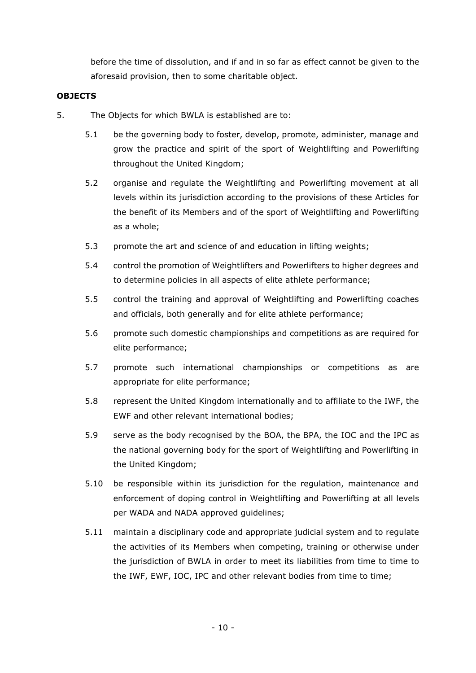before the time of dissolution, and if and in so far as effect cannot be given to the aforesaid provision, then to some charitable object.

# **OBJECTS**

- <span id="page-9-0"></span>5. The Objects for which BWLA is established are to:
	- 5.1 be the governing body to foster, develop, promote, administer, manage and grow the practice and spirit of the sport of Weightlifting and Powerlifting throughout the United Kingdom;
	- 5.2 organise and regulate the Weightlifting and Powerlifting movement at all levels within its jurisdiction according to the provisions of these Articles for the benefit of its Members and of the sport of Weightlifting and Powerlifting as a whole;
	- 5.3 promote the art and science of and education in lifting weights;
	- 5.4 control the promotion of Weightlifters and Powerlifters to higher degrees and to determine policies in all aspects of elite athlete performance;
	- 5.5 control the training and approval of Weightlifting and Powerlifting coaches and officials, both generally and for elite athlete performance;
	- 5.6 promote such domestic championships and competitions as are required for elite performance;
	- 5.7 promote such international championships or competitions as are appropriate for elite performance;
	- 5.8 represent the United Kingdom internationally and to affiliate to the IWF, the EWF and other relevant international bodies;
	- 5.9 serve as the body recognised by the BOA, the BPA, the IOC and the IPC as the national governing body for the sport of Weightlifting and Powerlifting in the United Kingdom;
	- 5.10 be responsible within its jurisdiction for the regulation, maintenance and enforcement of doping control in Weightlifting and Powerlifting at all levels per WADA and NADA approved guidelines;
	- 5.11 maintain a disciplinary code and appropriate judicial system and to regulate the activities of its Members when competing, training or otherwise under the jurisdiction of BWLA in order to meet its liabilities from time to time to the IWF, EWF, IOC, IPC and other relevant bodies from time to time;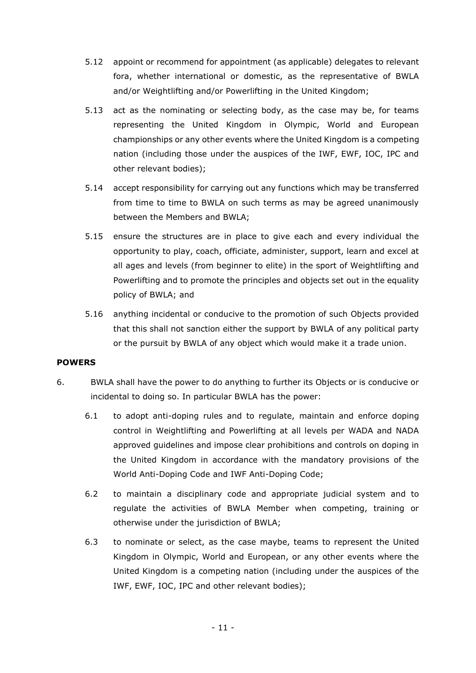- 5.12 appoint or recommend for appointment (as applicable) delegates to relevant fora, whether international or domestic, as the representative of BWLA and/or Weightlifting and/or Powerlifting in the United Kingdom;
- 5.13 act as the nominating or selecting body, as the case may be, for teams representing the United Kingdom in Olympic, World and European championships or any other events where the United Kingdom is a competing nation (including those under the auspices of the IWF, EWF, IOC, IPC and other relevant bodies);
- 5.14 accept responsibility for carrying out any functions which may be transferred from time to time to BWLA on such terms as may be agreed unanimously between the Members and BWLA;
- 5.15 ensure the structures are in place to give each and every individual the opportunity to play, coach, officiate, administer, support, learn and excel at all ages and levels (from beginner to elite) in the sport of Weightlifting and Powerlifting and to promote the principles and objects set out in the equality policy of BWLA; and
- 5.16 anything incidental or conducive to the promotion of such Objects provided that this shall not sanction either the support by BWLA of any political party or the pursuit by BWLA of any object which would make it a trade union.

### **POWERS**

- 6. BWLA shall have the power to do anything to further its Objects or is conducive or incidental to doing so. In particular BWLA has the power:
	- 6.1 to adopt anti-doping rules and to regulate, maintain and enforce doping control in Weightlifting and Powerlifting at all levels per WADA and NADA approved guidelines and impose clear prohibitions and controls on doping in the United Kingdom in accordance with the mandatory provisions of the World Anti-Doping Code and IWF Anti-Doping Code;
	- 6.2 to maintain a disciplinary code and appropriate judicial system and to regulate the activities of BWLA Member when competing, training or otherwise under the jurisdiction of BWLA;
	- 6.3 to nominate or select, as the case maybe, teams to represent the United Kingdom in Olympic, World and European, or any other events where the United Kingdom is a competing nation (including under the auspices of the IWF, EWF, IOC, IPC and other relevant bodies);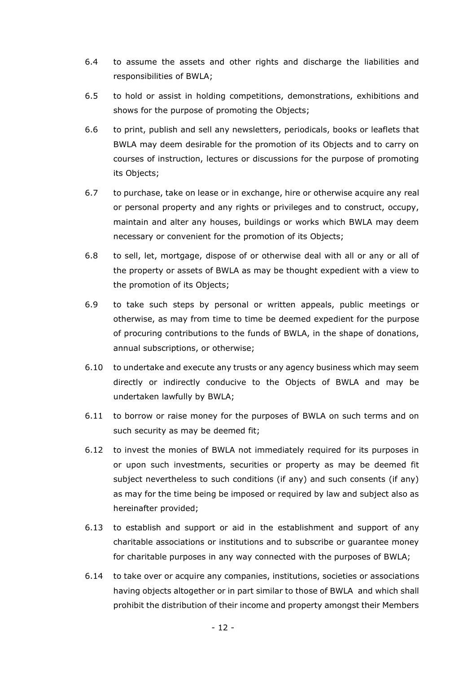- 6.4 to assume the assets and other rights and discharge the liabilities and responsibilities of BWLA;
- 6.5 to hold or assist in holding competitions, demonstrations, exhibitions and shows for the purpose of promoting the Objects;
- 6.6 to print, publish and sell any newsletters, periodicals, books or leaflets that BWLA may deem desirable for the promotion of its Objects and to carry on courses of instruction, lectures or discussions for the purpose of promoting its Objects;
- 6.7 to purchase, take on lease or in exchange, hire or otherwise acquire any real or personal property and any rights or privileges and to construct, occupy, maintain and alter any houses, buildings or works which BWLA may deem necessary or convenient for the promotion of its Objects;
- 6.8 to sell, let, mortgage, dispose of or otherwise deal with all or any or all of the property or assets of BWLA as may be thought expedient with a view to the promotion of its Objects;
- 6.9 to take such steps by personal or written appeals, public meetings or otherwise, as may from time to time be deemed expedient for the purpose of procuring contributions to the funds of BWLA, in the shape of donations, annual subscriptions, or otherwise;
- 6.10 to undertake and execute any trusts or any agency business which may seem directly or indirectly conducive to the Objects of BWLA and may be undertaken lawfully by BWLA;
- 6.11 to borrow or raise money for the purposes of BWLA on such terms and on such security as may be deemed fit;
- 6.12 to invest the monies of BWLA not immediately required for its purposes in or upon such investments, securities or property as may be deemed fit subject nevertheless to such conditions (if any) and such consents (if any) as may for the time being be imposed or required by law and subject also as hereinafter provided;
- 6.13 to establish and support or aid in the establishment and support of any charitable associations or institutions and to subscribe or guarantee money for charitable purposes in any way connected with the purposes of BWLA;
- 6.14 to take over or acquire any companies, institutions, societies or associations having objects altogether or in part similar to those of BWLA and which shall prohibit the distribution of their income and property amongst their Members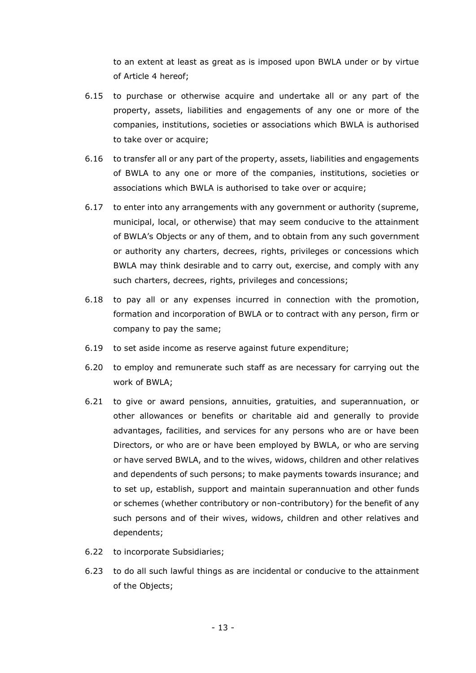to an extent at least as great as is imposed upon BWLA under or by virtue of Article [4](#page-8-0) hereof;

- 6.15 to purchase or otherwise acquire and undertake all or any part of the property, assets, liabilities and engagements of any one or more of the companies, institutions, societies or associations which BWLA is authorised to take over or acquire;
- 6.16 to transfer all or any part of the property, assets, liabilities and engagements of BWLA to any one or more of the companies, institutions, societies or associations which BWLA is authorised to take over or acquire;
- 6.17 to enter into any arrangements with any government or authority (supreme, municipal, local, or otherwise) that may seem conducive to the attainment of BWLA's Objects or any of them, and to obtain from any such government or authority any charters, decrees, rights, privileges or concessions which BWLA may think desirable and to carry out, exercise, and comply with any such charters, decrees, rights, privileges and concessions;
- 6.18 to pay all or any expenses incurred in connection with the promotion, formation and incorporation of BWLA or to contract with any person, firm or company to pay the same;
- 6.19 to set aside income as reserve against future expenditure;
- 6.20 to employ and remunerate such staff as are necessary for carrying out the work of BWLA;
- 6.21 to give or award pensions, annuities, gratuities, and superannuation, or other allowances or benefits or charitable aid and generally to provide advantages, facilities, and services for any persons who are or have been Directors, or who are or have been employed by BWLA, or who are serving or have served BWLA, and to the wives, widows, children and other relatives and dependents of such persons; to make payments towards insurance; and to set up, establish, support and maintain superannuation and other funds or schemes (whether contributory or non-contributory) for the benefit of any such persons and of their wives, widows, children and other relatives and dependents;
- 6.22 to incorporate Subsidiaries;
- 6.23 to do all such lawful things as are incidental or conducive to the attainment of the Objects;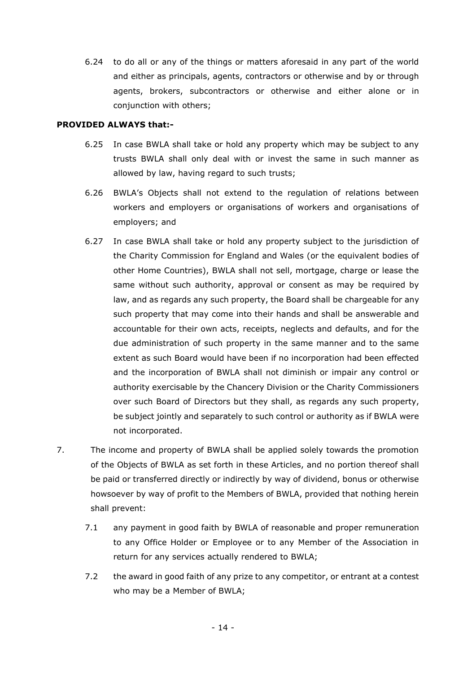6.24 to do all or any of the things or matters aforesaid in any part of the world and either as principals, agents, contractors or otherwise and by or through agents, brokers, subcontractors or otherwise and either alone or in conjunction with others;

#### **PROVIDED ALWAYS that:-**

- 6.25 In case BWLA shall take or hold any property which may be subject to any trusts BWLA shall only deal with or invest the same in such manner as allowed by law, having regard to such trusts;
- 6.26 BWLA's Objects shall not extend to the regulation of relations between workers and employers or organisations of workers and organisations of employers; and
- 6.27 In case BWLA shall take or hold any property subject to the jurisdiction of the Charity Commission for England and Wales (or the equivalent bodies of other Home Countries), BWLA shall not sell, mortgage, charge or lease the same without such authority, approval or consent as may be required by law, and as regards any such property, the Board shall be chargeable for any such property that may come into their hands and shall be answerable and accountable for their own acts, receipts, neglects and defaults, and for the due administration of such property in the same manner and to the same extent as such Board would have been if no incorporation had been effected and the incorporation of BWLA shall not diminish or impair any control or authority exercisable by the Chancery Division or the Charity Commissioners over such Board of Directors but they shall, as regards any such property, be subject jointly and separately to such control or authority as if BWLA were not incorporated.
- <span id="page-13-0"></span>7. The income and property of BWLA shall be applied solely towards the promotion of the Objects of BWLA as set forth in these Articles, and no portion thereof shall be paid or transferred directly or indirectly by way of dividend, bonus or otherwise howsoever by way of profit to the Members of BWLA, provided that nothing herein shall prevent:
	- 7.1 any payment in good faith by BWLA of reasonable and proper remuneration to any Office Holder or Employee or to any Member of the Association in return for any services actually rendered to BWLA;
	- 7.2 the award in good faith of any prize to any competitor, or entrant at a contest who may be a Member of BWLA;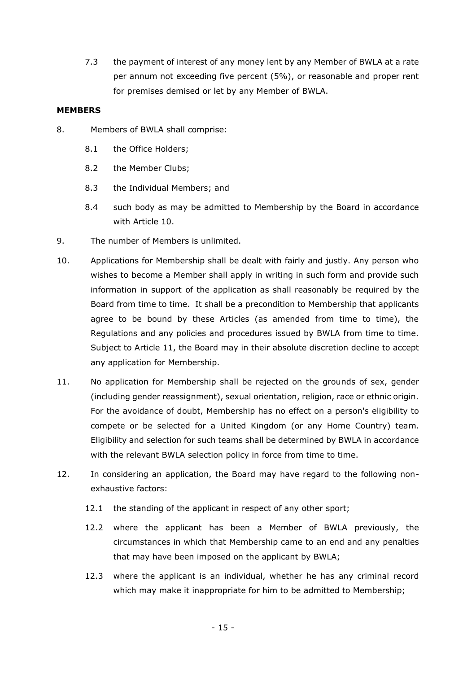7.3 the payment of interest of any money lent by any Member of BWLA at a rate per annum not exceeding five percent (5%), or reasonable and proper rent for premises demised or let by any Member of BWLA.

#### **MEMBERS**

- 8. Members of BWLA shall comprise:
	- 8.1 the Office Holders;
	- 8.2 the Member Clubs;
	- 8.3 the Individual Members; and
	- 8.4 such body as may be admitted to Membership by the Board in accordance with Article [10.](#page-14-0)
- 9. The number of Members is unlimited.
- <span id="page-14-0"></span>10. Applications for Membership shall be dealt with fairly and justly. Any person who wishes to become a Member shall apply in writing in such form and provide such information in support of the application as shall reasonably be required by the Board from time to time. It shall be a precondition to Membership that applicants agree to be bound by these Articles (as amended from time to time), the Regulations and any policies and procedures issued by BWLA from time to time. Subject to Article [11,](#page-14-1) the Board may in their absolute discretion decline to accept any application for Membership.
- <span id="page-14-1"></span>11. No application for Membership shall be rejected on the grounds of sex, gender (including gender reassignment), sexual orientation, religion, race or ethnic origin. For the avoidance of doubt, Membership has no effect on a person's eligibility to compete or be selected for a United Kingdom (or any Home Country) team. Eligibility and selection for such teams shall be determined by BWLA in accordance with the relevant BWLA selection policy in force from time to time.
- 12. In considering an application, the Board may have regard to the following nonexhaustive factors:
	- 12.1 the standing of the applicant in respect of any other sport;
	- 12.2 where the applicant has been a Member of BWLA previously, the circumstances in which that Membership came to an end and any penalties that may have been imposed on the applicant by BWLA;
	- 12.3 where the applicant is an individual, whether he has any criminal record which may make it inappropriate for him to be admitted to Membership: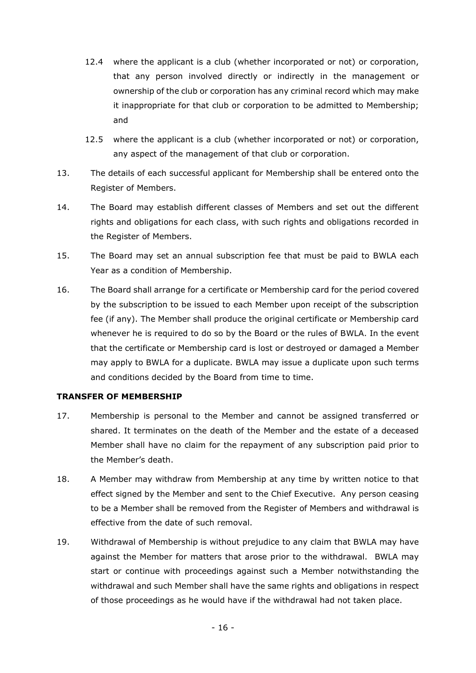- 12.4 where the applicant is a club (whether incorporated or not) or corporation, that any person involved directly or indirectly in the management or ownership of the club or corporation has any criminal record which may make it inappropriate for that club or corporation to be admitted to Membership; and
- 12.5 where the applicant is a club (whether incorporated or not) or corporation, any aspect of the management of that club or corporation.
- 13. The details of each successful applicant for Membership shall be entered onto the Register of Members.
- 14. The Board may establish different classes of Members and set out the different rights and obligations for each class, with such rights and obligations recorded in the Register of Members.
- 15. The Board may set an annual subscription fee that must be paid to BWLA each Year as a condition of Membership.
- 16. The Board shall arrange for a certificate or Membership card for the period covered by the subscription to be issued to each Member upon receipt of the subscription fee (if any). The Member shall produce the original certificate or Membership card whenever he is required to do so by the Board or the rules of BWLA. In the event that the certificate or Membership card is lost or destroyed or damaged a Member may apply to BWLA for a duplicate. BWLA may issue a duplicate upon such terms and conditions decided by the Board from time to time.

### **TRANSFER OF MEMBERSHIP**

- 17. Membership is personal to the Member and cannot be assigned transferred or shared. It terminates on the death of the Member and the estate of a deceased Member shall have no claim for the repayment of any subscription paid prior to the Member's death.
- <span id="page-15-0"></span>18. A Member may withdraw from Membership at any time by written notice to that effect signed by the Member and sent to the Chief Executive. Any person ceasing to be a Member shall be removed from the Register of Members and withdrawal is effective from the date of such removal.
- 19. Withdrawal of Membership is without prejudice to any claim that BWLA may have against the Member for matters that arose prior to the withdrawal. BWLA may start or continue with proceedings against such a Member notwithstanding the withdrawal and such Member shall have the same rights and obligations in respect of those proceedings as he would have if the withdrawal had not taken place.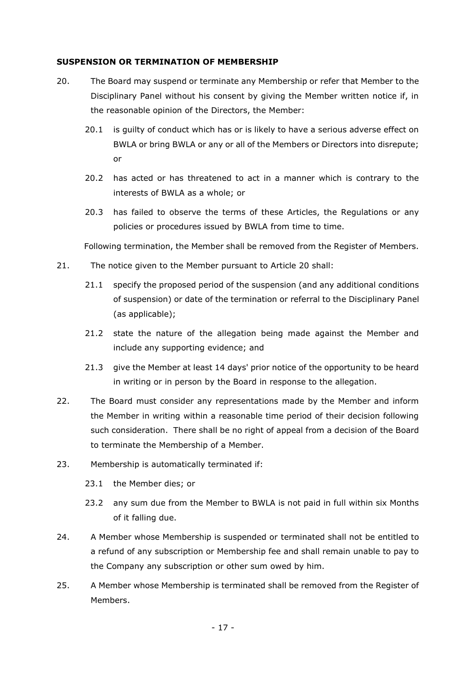#### **SUSPENSION OR TERMINATION OF MEMBERSHIP**

- <span id="page-16-0"></span>20. The Board may suspend or terminate any Membership or refer that Member to the Disciplinary Panel without his consent by giving the Member written notice if, in the reasonable opinion of the Directors, the Member:
	- 20.1 is guilty of conduct which has or is likely to have a serious adverse effect on BWLA or bring BWLA or any or all of the Members or Directors into disrepute; or
	- 20.2 has acted or has threatened to act in a manner which is contrary to the interests of BWLA as a whole; or
	- 20.3 has failed to observe the terms of these Articles, the Regulations or any policies or procedures issued by BWLA from time to time.

Following termination, the Member shall be removed from the Register of Members.

- 21. The notice given to the Member pursuant to Article [20](#page-16-0) shall:
	- 21.1 specify the proposed period of the suspension (and any additional conditions of suspension) or date of the termination or referral to the Disciplinary Panel (as applicable);
	- 21.2 state the nature of the allegation being made against the Member and include any supporting evidence; and
	- 21.3 give the Member at least 14 days' prior notice of the opportunity to be heard in writing or in person by the Board in response to the allegation.
- 22. The Board must consider any representations made by the Member and inform the Member in writing within a reasonable time period of their decision following such consideration. There shall be no right of appeal from a decision of the Board to terminate the Membership of a Member.
- 23. Membership is automatically terminated if:
	- 23.1 the Member dies; or
	- 23.2 any sum due from the Member to BWLA is not paid in full within six Months of it falling due.
- 24. A Member whose Membership is suspended or terminated shall not be entitled to a refund of any subscription or Membership fee and shall remain unable to pay to the Company any subscription or other sum owed by him.
- 25. A Member whose Membership is terminated shall be removed from the Register of Members.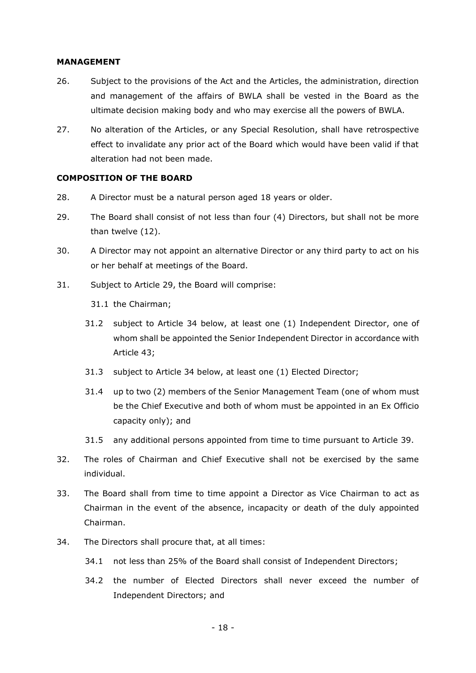#### **MANAGEMENT**

- 26. Subject to the provisions of the Act and the Articles, the administration, direction and management of the affairs of BWLA shall be vested in the Board as the ultimate decision making body and who may exercise all the powers of BWLA.
- 27. No alteration of the Articles, or any Special Resolution, shall have retrospective effect to invalidate any prior act of the Board which would have been valid if that alteration had not been made.

#### **COMPOSITION OF THE BOARD**

- 28. A Director must be a natural person aged 18 years or older.
- <span id="page-17-1"></span>29. The Board shall consist of not less than four (4) Directors, but shall not be more than twelve (12).
- <span id="page-17-3"></span>30. A Director may not appoint an alternative Director or any third party to act on his or her behalf at meetings of the Board.
- 31. Subject to Article [29,](#page-17-1) the Board will comprise:

31.1 the Chairman;

- 31.2 subject to Article [34](#page-17-2) below, at least one (1) Independent Director, one of whom shall be appointed the Senior Independent Director in accordance with Article [43;](#page-19-0)
- 31.3 subject to Article [34](#page-17-2) below, at least one (1) Elected Director;
- 31.4 up to two (2) members of the Senior Management Team (one of whom must be the Chief Executive and both of whom must be appointed in an Ex Officio capacity only); and
- 31.5 any additional persons appointed from time to time pursuant to Article [39.](#page-18-2)
- 32. The roles of Chairman and Chief Executive shall not be exercised by the same individual.
- <span id="page-17-0"></span>33. The Board shall from time to time appoint a Director as Vice Chairman to act as Chairman in the event of the absence, incapacity or death of the duly appointed Chairman.
- <span id="page-17-2"></span>34. The Directors shall procure that, at all times:
	- 34.1 not less than 25% of the Board shall consist of Independent Directors;
	- 34.2 the number of Elected Directors shall never exceed the number of Independent Directors; and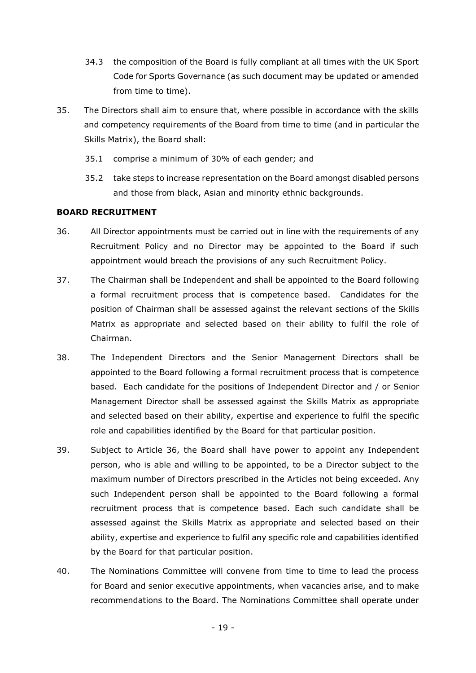- 34.3 the composition of the Board is fully compliant at all times with the UK Sport Code for Sports Governance (as such document may be updated or amended from time to time).
- 35. The Directors shall aim to ensure that, where possible in accordance with the skills and competency requirements of the Board from time to time (and in particular the Skills Matrix), the Board shall:
	- 35.1 comprise a minimum of 30% of each gender; and
	- 35.2 take steps to increase representation on the Board amongst disabled persons and those from black, Asian and minority ethnic backgrounds.

### **BOARD RECRUITMENT**

- <span id="page-18-0"></span>36. All Director appointments must be carried out in line with the requirements of any Recruitment Policy and no Director may be appointed to the Board if such appointment would breach the provisions of any such Recruitment Policy.
- 37. The Chairman shall be Independent and shall be appointed to the Board following a formal recruitment process that is competence based. Candidates for the position of Chairman shall be assessed against the relevant sections of the Skills Matrix as appropriate and selected based on their ability to fulfil the role of Chairman.
- <span id="page-18-1"></span>38. The Independent Directors and the Senior Management Directors shall be appointed to the Board following a formal recruitment process that is competence based. Each candidate for the positions of Independent Director and / or Senior Management Director shall be assessed against the Skills Matrix as appropriate and selected based on their ability, expertise and experience to fulfil the specific role and capabilities identified by the Board for that particular position.
- <span id="page-18-2"></span>39. Subject to Article [36,](#page-18-0) the Board shall have power to appoint any Independent person, who is able and willing to be appointed, to be a Director subject to the maximum number of Directors prescribed in the Articles not being exceeded. Any such Independent person shall be appointed to the Board following a formal recruitment process that is competence based. Each such candidate shall be assessed against the Skills Matrix as appropriate and selected based on their ability, expertise and experience to fulfil any specific role and capabilities identified by the Board for that particular position.
- <span id="page-18-3"></span>40. The Nominations Committee will convene from time to time to lead the process for Board and senior executive appointments, when vacancies arise, and to make recommendations to the Board. The Nominations Committee shall operate under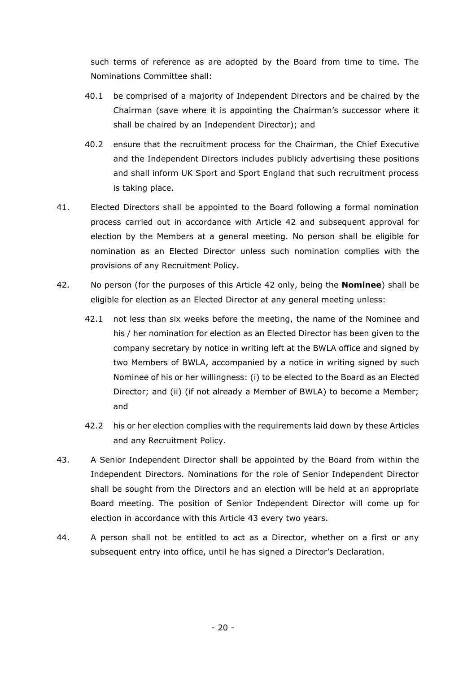such terms of reference as are adopted by the Board from time to time. The Nominations Committee shall:

- 40.1 be comprised of a majority of Independent Directors and be chaired by the Chairman (save where it is appointing the Chairman's successor where it shall be chaired by an Independent Director); and
- 40.2 ensure that the recruitment process for the Chairman, the Chief Executive and the Independent Directors includes publicly advertising these positions and shall inform UK Sport and Sport England that such recruitment process is taking place.
- 41. Elected Directors shall be appointed to the Board following a formal nomination process carried out in accordance with Article [42](#page-19-1) and subsequent approval for election by the Members at a general meeting. No person shall be eligible for nomination as an Elected Director unless such nomination complies with the provisions of any Recruitment Policy.
- <span id="page-19-1"></span>42. No person (for the purposes of this Article [42](#page-19-1) only, being the **Nominee**) shall be eligible for election as an Elected Director at any general meeting unless:
	- 42.1 not less than six weeks before the meeting, the name of the Nominee and his / her nomination for election as an Elected Director has been given to the company secretary by notice in writing left at the BWLA office and signed by two Members of BWLA, accompanied by a notice in writing signed by such Nominee of his or her willingness: (i) to be elected to the Board as an Elected Director; and (ii) (if not already a Member of BWLA) to become a Member; and
	- 42.2 his or her election complies with the requirements laid down by these Articles and any Recruitment Policy.
- <span id="page-19-0"></span>43. A Senior Independent Director shall be appointed by the Board from within the Independent Directors. Nominations for the role of Senior Independent Director shall be sought from the Directors and an election will be held at an appropriate Board meeting. The position of Senior Independent Director will come up for election in accordance with this Article [43](#page-19-0) every two years.
- 44. A person shall not be entitled to act as a Director, whether on a first or any subsequent entry into office, until he has signed a Director's Declaration.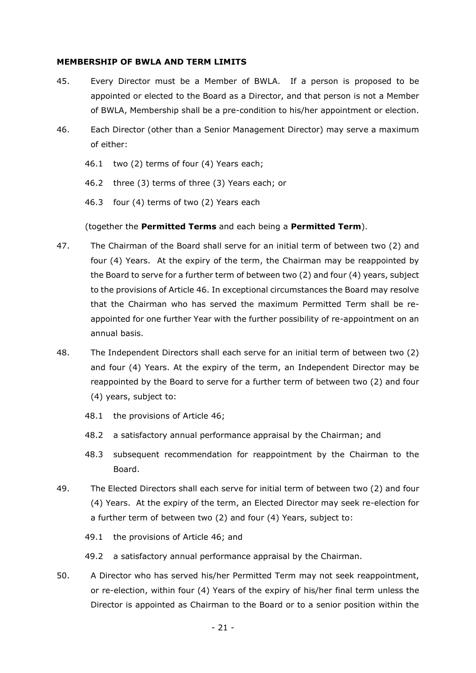#### **MEMBERSHIP OF BWLA AND TERM LIMITS**

- 45. Every Director must be a Member of BWLA. If a person is proposed to be appointed or elected to the Board as a Director, and that person is not a Member of BWLA, Membership shall be a pre-condition to his/her appointment or election.
- <span id="page-20-0"></span>46. Each Director (other than a Senior Management Director) may serve a maximum of either:
	- 46.1 two (2) terms of four (4) Years each;
	- 46.2 three (3) terms of three (3) Years each; or
	- 46.3 four (4) terms of two (2) Years each

#### (together the **Permitted Terms** and each being a **Permitted Term**).

- 47. The Chairman of the Board shall serve for an initial term of between two (2) and four (4) Years. At the expiry of the term, the Chairman may be reappointed by the Board to serve for a further term of between two (2) and four (4) years, subject to the provisions of Article [46.](#page-20-0) In exceptional circumstances the Board may resolve that the Chairman who has served the maximum Permitted Term shall be reappointed for one further Year with the further possibility of re-appointment on an annual basis.
- 48. The Independent Directors shall each serve for an initial term of between two (2) and four (4) Years. At the expiry of the term, an Independent Director may be reappointed by the Board to serve for a further term of between two (2) and four (4) years, subject to:
	- 48.1 the provisions of Article [46;](#page-20-0)
	- 48.2 a satisfactory annual performance appraisal by the Chairman; and
	- 48.3 subsequent recommendation for reappointment by the Chairman to the Board.
- 49. The Elected Directors shall each serve for initial term of between two (2) and four (4) Years. At the expiry of the term, an Elected Director may seek re-election for a further term of between two (2) and four (4) Years, subject to:
	- 49.1 the provisions of Article [46;](#page-20-0) and
	- 49.2 a satisfactory annual performance appraisal by the Chairman.
- 50. A Director who has served his/her Permitted Term may not seek reappointment, or re-election, within four (4) Years of the expiry of his/her final term unless the Director is appointed as Chairman to the Board or to a senior position within the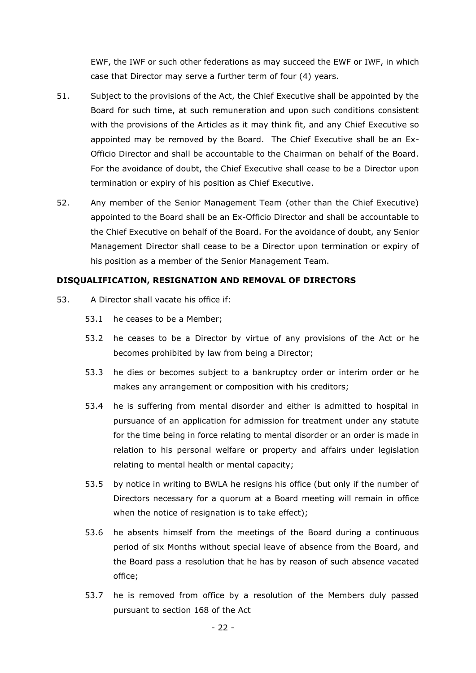EWF, the IWF or such other federations as may succeed the EWF or IWF, in which case that Director may serve a further term of four (4) years.

- <span id="page-21-0"></span>51. Subject to the provisions of the Act, the Chief Executive shall be appointed by the Board for such time, at such remuneration and upon such conditions consistent with the provisions of the Articles as it may think fit, and any Chief Executive so appointed may be removed by the Board. The Chief Executive shall be an Ex-Officio Director and shall be accountable to the Chairman on behalf of the Board. For the avoidance of doubt, the Chief Executive shall cease to be a Director upon termination or expiry of his position as Chief Executive.
- 52. Any member of the Senior Management Team (other than the Chief Executive) appointed to the Board shall be an Ex-Officio Director and shall be accountable to the Chief Executive on behalf of the Board. For the avoidance of doubt, any Senior Management Director shall cease to be a Director upon termination or expiry of his position as a member of the Senior Management Team.

### **DISQUALIFICATION, RESIGNATION AND REMOVAL OF DIRECTORS**

- 53. A Director shall vacate his office if:
	- 53.1 he ceases to be a Member;
	- 53.2 he ceases to be a Director by virtue of any provisions of the Act or he becomes prohibited by law from being a Director;
	- 53.3 he dies or becomes subject to a bankruptcy order or interim order or he makes any arrangement or composition with his creditors;
	- 53.4 he is suffering from mental disorder and either is admitted to hospital in pursuance of an application for admission for treatment under any statute for the time being in force relating to mental disorder or an order is made in relation to his personal welfare or property and affairs under legislation relating to mental health or mental capacity;
	- 53.5 by notice in writing to BWLA he resigns his office (but only if the number of Directors necessary for a quorum at a Board meeting will remain in office when the notice of resignation is to take effect);
	- 53.6 he absents himself from the meetings of the Board during a continuous period of six Months without special leave of absence from the Board, and the Board pass a resolution that he has by reason of such absence vacated office;
	- 53.7 he is removed from office by a resolution of the Members duly passed pursuant to section 168 of the Act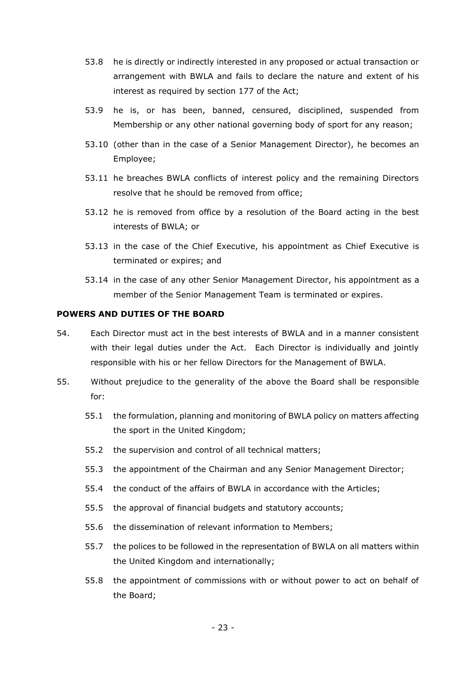- 53.8 he is directly or indirectly interested in any proposed or actual transaction or arrangement with BWLA and fails to declare the nature and extent of his interest as required by section 177 of the Act;
- 53.9 he is, or has been, banned, censured, disciplined, suspended from Membership or any other national governing body of sport for any reason;
- 53.10 (other than in the case of a Senior Management Director), he becomes an Employee;
- 53.11 he breaches BWLA conflicts of interest policy and the remaining Directors resolve that he should be removed from office;
- 53.12 he is removed from office by a resolution of the Board acting in the best interests of BWLA; or
- 53.13 in the case of the Chief Executive, his appointment as Chief Executive is terminated or expires; and
- 53.14 in the case of any other Senior Management Director, his appointment as a member of the Senior Management Team is terminated or expires.

### **POWERS AND DUTIES OF THE BOARD**

- 54. Each Director must act in the best interests of BWLA and in a manner consistent with their legal duties under the Act. Each Director is individually and jointly responsible with his or her fellow Directors for the Management of BWLA.
- 55. Without prejudice to the generality of the above the Board shall be responsible for:
	- 55.1 the formulation, planning and monitoring of BWLA policy on matters affecting the sport in the United Kingdom;
	- 55.2 the supervision and control of all technical matters;
	- 55.3 the appointment of the Chairman and any Senior Management Director;
	- 55.4 the conduct of the affairs of BWLA in accordance with the Articles;
	- 55.5 the approval of financial budgets and statutory accounts;
	- 55.6 the dissemination of relevant information to Members;
	- 55.7 the polices to be followed in the representation of BWLA on all matters within the United Kingdom and internationally;
	- 55.8 the appointment of commissions with or without power to act on behalf of the Board;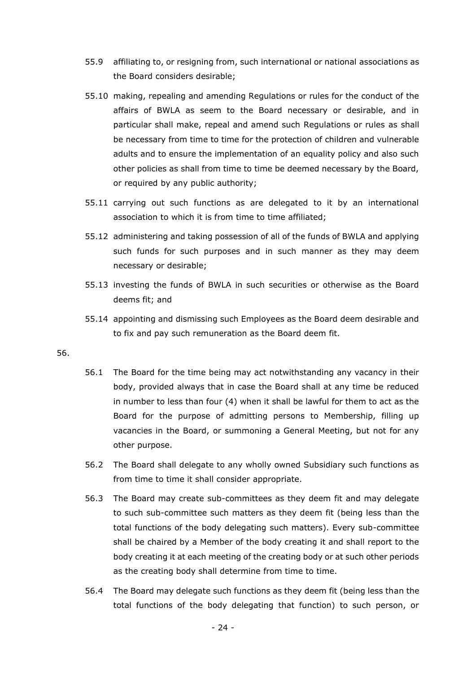- 55.9 affiliating to, or resigning from, such international or national associations as the Board considers desirable;
- 55.10 making, repealing and amending Regulations or rules for the conduct of the affairs of BWLA as seem to the Board necessary or desirable, and in particular shall make, repeal and amend such Regulations or rules as shall be necessary from time to time for the protection of children and vulnerable adults and to ensure the implementation of an equality policy and also such other policies as shall from time to time be deemed necessary by the Board, or required by any public authority;
- 55.11 carrying out such functions as are delegated to it by an international association to which it is from time to time affiliated;
- 55.12 administering and taking possession of all of the funds of BWLA and applying such funds for such purposes and in such manner as they may deem necessary or desirable;
- 55.13 investing the funds of BWLA in such securities or otherwise as the Board deems fit; and
- 55.14 appointing and dismissing such Employees as the Board deem desirable and to fix and pay such remuneration as the Board deem fit.

#### 56.

- 56.1 The Board for the time being may act notwithstanding any vacancy in their body, provided always that in case the Board shall at any time be reduced in number to less than four (4) when it shall be lawful for them to act as the Board for the purpose of admitting persons to Membership, filling up vacancies in the Board, or summoning a General Meeting, but not for any other purpose.
- 56.2 The Board shall delegate to any wholly owned Subsidiary such functions as from time to time it shall consider appropriate.
- 56.3 The Board may create sub-committees as they deem fit and may delegate to such sub-committee such matters as they deem fit (being less than the total functions of the body delegating such matters). Every sub-committee shall be chaired by a Member of the body creating it and shall report to the body creating it at each meeting of the creating body or at such other periods as the creating body shall determine from time to time.
- 56.4 The Board may delegate such functions as they deem fit (being less than the total functions of the body delegating that function) to such person, or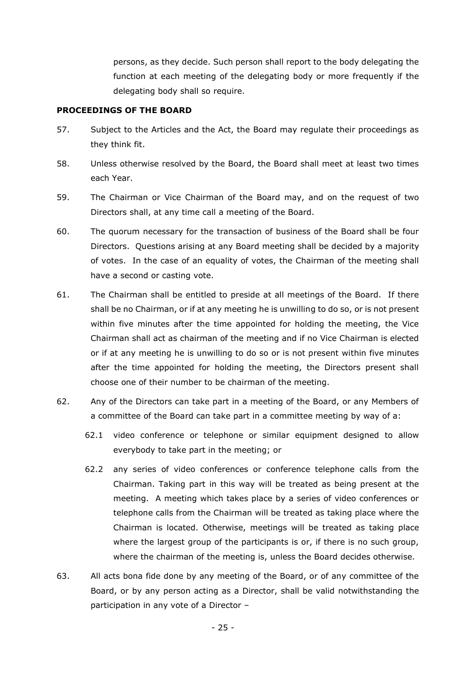persons, as they decide. Such person shall report to the body delegating the function at each meeting of the delegating body or more frequently if the delegating body shall so require.

#### **PROCEEDINGS OF THE BOARD**

- 57. Subject to the Articles and the Act, the Board may regulate their proceedings as they think fit.
- 58. Unless otherwise resolved by the Board, the Board shall meet at least two times each Year.
- 59. The Chairman or Vice Chairman of the Board may, and on the request of two Directors shall, at any time call a meeting of the Board.
- 60. The quorum necessary for the transaction of business of the Board shall be four Directors. Questions arising at any Board meeting shall be decided by a majority of votes. In the case of an equality of votes, the Chairman of the meeting shall have a second or casting vote.
- 61. The Chairman shall be entitled to preside at all meetings of the Board. If there shall be no Chairman, or if at any meeting he is unwilling to do so, or is not present within five minutes after the time appointed for holding the meeting, the Vice Chairman shall act as chairman of the meeting and if no Vice Chairman is elected or if at any meeting he is unwilling to do so or is not present within five minutes after the time appointed for holding the meeting, the Directors present shall choose one of their number to be chairman of the meeting.
- 62. Any of the Directors can take part in a meeting of the Board, or any Members of a committee of the Board can take part in a committee meeting by way of a:
	- 62.1 video conference or telephone or similar equipment designed to allow everybody to take part in the meeting; or
	- 62.2 any series of video conferences or conference telephone calls from the Chairman. Taking part in this way will be treated as being present at the meeting. A meeting which takes place by a series of video conferences or telephone calls from the Chairman will be treated as taking place where the Chairman is located. Otherwise, meetings will be treated as taking place where the largest group of the participants is or, if there is no such group, where the chairman of the meeting is, unless the Board decides otherwise.
- <span id="page-24-0"></span>63. All acts bona fide done by any meeting of the Board, or of any committee of the Board, or by any person acting as a Director, shall be valid notwithstanding the participation in any vote of a Director –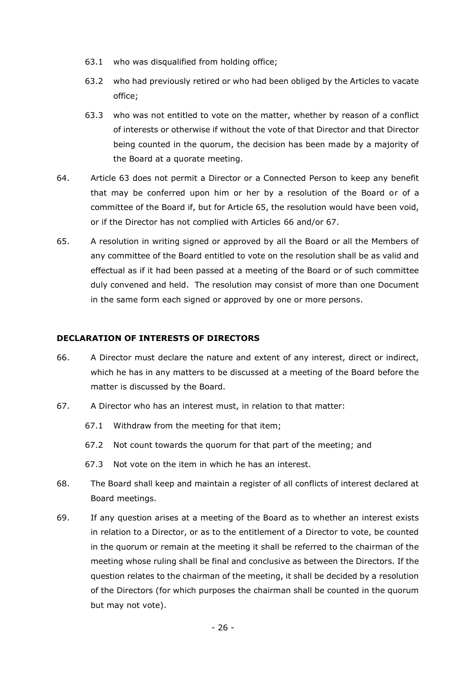- 63.1 who was disqualified from holding office;
- 63.2 who had previously retired or who had been obliged by the Articles to vacate office;
- 63.3 who was not entitled to vote on the matter, whether by reason of a conflict of interests or otherwise if without the vote of that Director and that Director being counted in the quorum, the decision has been made by a majority of the Board at a quorate meeting.
- 64. Article [63](#page-24-0) does not permit a Director or a Connected Person to keep any benefit that may be conferred upon him or her by a resolution of the Board or of a committee of the Board if, but for Article [65,](#page-25-0) the resolution would have been void, or if the Director has not complied with Articles [66](#page-25-1) and/or [67.](#page-25-2)
- <span id="page-25-0"></span>65. A resolution in writing signed or approved by all the Board or all the Members of any committee of the Board entitled to vote on the resolution shall be as valid and effectual as if it had been passed at a meeting of the Board or of such committee duly convened and held. The resolution may consist of more than one Document in the same form each signed or approved by one or more persons.

# **DECLARATION OF INTERESTS OF DIRECTORS**

- <span id="page-25-1"></span>66. A Director must declare the nature and extent of any interest, direct or indirect, which he has in any matters to be discussed at a meeting of the Board before the matter is discussed by the Board.
- <span id="page-25-2"></span>67. A Director who has an interest must, in relation to that matter:
	- 67.1 Withdraw from the meeting for that item;
	- 67.2 Not count towards the quorum for that part of the meeting; and
	- 67.3 Not vote on the item in which he has an interest.
- 68. The Board shall keep and maintain a register of all conflicts of interest declared at Board meetings.
- 69. If any question arises at a meeting of the Board as to whether an interest exists in relation to a Director, or as to the entitlement of a Director to vote, be counted in the quorum or remain at the meeting it shall be referred to the chairman of the meeting whose ruling shall be final and conclusive as between the Directors. If the question relates to the chairman of the meeting, it shall be decided by a resolution of the Directors (for which purposes the chairman shall be counted in the quorum but may not vote).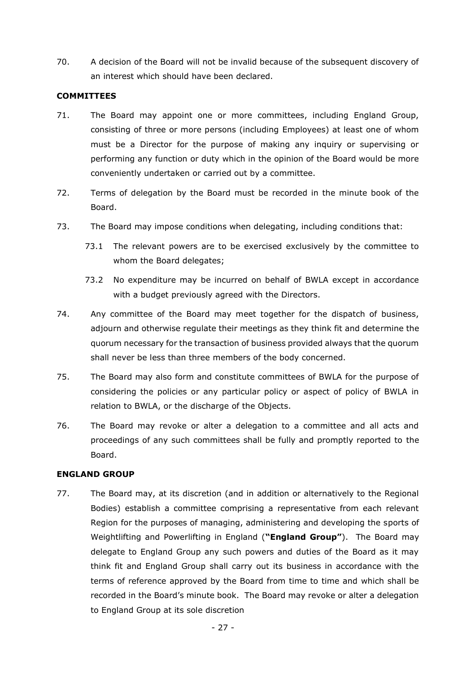70. A decision of the Board will not be invalid because of the subsequent discovery of an interest which should have been declared.

### **COMMITTEES**

- <span id="page-26-0"></span>71. The Board may appoint one or more committees, including England Group, consisting of three or more persons (including Employees) at least one of whom must be a Director for the purpose of making any inquiry or supervising or performing any function or duty which in the opinion of the Board would be more conveniently undertaken or carried out by a committee.
- 72. Terms of delegation by the Board must be recorded in the minute book of the Board.
- 73. The Board may impose conditions when delegating, including conditions that:
	- 73.1 The relevant powers are to be exercised exclusively by the committee to whom the Board delegates;
	- 73.2 No expenditure may be incurred on behalf of BWLA except in accordance with a budget previously agreed with the Directors.
- 74. Any committee of the Board may meet together for the dispatch of business, adjourn and otherwise regulate their meetings as they think fit and determine the quorum necessary for the transaction of business provided always that the quorum shall never be less than three members of the body concerned.
- 75. The Board may also form and constitute committees of BWLA for the purpose of considering the policies or any particular policy or aspect of policy of BWLA in relation to BWLA, or the discharge of the Objects.
- <span id="page-26-1"></span>76. The Board may revoke or alter a delegation to a committee and all acts and proceedings of any such committees shall be fully and promptly reported to the Board.

### **ENGLAND GROUP**

<span id="page-26-2"></span>77. The Board may, at its discretion (and in addition or alternatively to the Regional Bodies) establish a committee comprising a representative from each relevant Region for the purposes of managing, administering and developing the sports of Weightlifting and Powerlifting in England (**"England Group"**). The Board may delegate to England Group any such powers and duties of the Board as it may think fit and England Group shall carry out its business in accordance with the terms of reference approved by the Board from time to time and which shall be recorded in the Board's minute book. The Board may revoke or alter a delegation to England Group at its sole discretion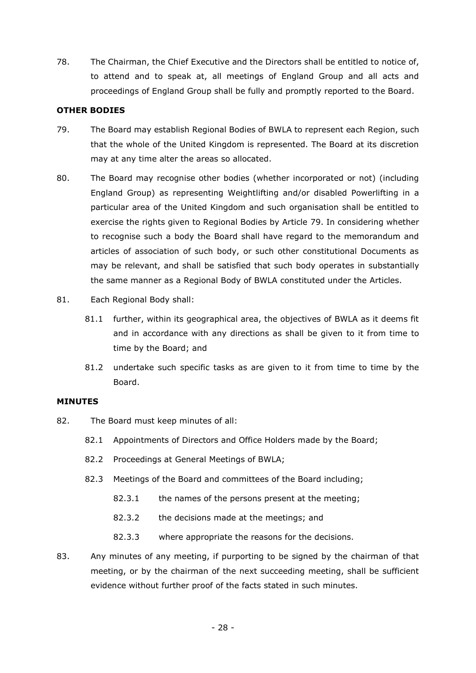78. The Chairman, the Chief Executive and the Directors shall be entitled to notice of, to attend and to speak at, all meetings of England Group and all acts and proceedings of England Group shall be fully and promptly reported to the Board.

### **OTHER BODIES**

- <span id="page-27-0"></span>79. The Board may establish Regional Bodies of BWLA to represent each Region, such that the whole of the United Kingdom is represented. The Board at its discretion may at any time alter the areas so allocated.
- 80. The Board may recognise other bodies (whether incorporated or not) (including England Group) as representing Weightlifting and/or disabled Powerlifting in a particular area of the United Kingdom and such organisation shall be entitled to exercise the rights given to Regional Bodies by Article [79.](#page-27-0) In considering whether to recognise such a body the Board shall have regard to the memorandum and articles of association of such body, or such other constitutional Documents as may be relevant, and shall be satisfied that such body operates in substantially the same manner as a Regional Body of BWLA constituted under the Articles.
- 81. Each Regional Body shall:
	- 81.1 further, within its geographical area, the objectives of BWLA as it deems fit and in accordance with any directions as shall be given to it from time to time by the Board; and
	- 81.2 undertake such specific tasks as are given to it from time to time by the Board.

### **MINUTES**

- 82. The Board must keep minutes of all:
	- 82.1 Appointments of Directors and Office Holders made by the Board;
	- 82.2 Proceedings at General Meetings of BWLA;
	- 82.3 Meetings of the Board and committees of the Board including;
		- 82.3.1 the names of the persons present at the meeting;
		- 82.3.2 the decisions made at the meetings; and
		- 82.3.3 where appropriate the reasons for the decisions.
- 83. Any minutes of any meeting, if purporting to be signed by the chairman of that meeting, or by the chairman of the next succeeding meeting, shall be sufficient evidence without further proof of the facts stated in such minutes.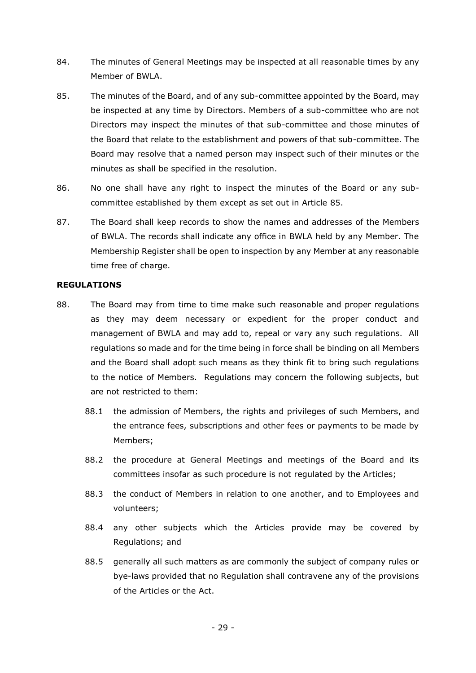- 84. The minutes of General Meetings may be inspected at all reasonable times by any Member of BWLA.
- <span id="page-28-1"></span>85. The minutes of the Board, and of any sub-committee appointed by the Board, may be inspected at any time by Directors. Members of a sub-committee who are not Directors may inspect the minutes of that sub-committee and those minutes of the Board that relate to the establishment and powers of that sub-committee. The Board may resolve that a named person may inspect such of their minutes or the minutes as shall be specified in the resolution.
- 86. No one shall have any right to inspect the minutes of the Board or any subcommittee established by them except as set out in Article [85.](#page-28-1)
- 87. The Board shall keep records to show the names and addresses of the Members of BWLA. The records shall indicate any office in BWLA held by any Member. The Membership Register shall be open to inspection by any Member at any reasonable time free of charge.

### **REGULATIONS**

- <span id="page-28-0"></span>88. The Board may from time to time make such reasonable and proper regulations as they may deem necessary or expedient for the proper conduct and management of BWLA and may add to, repeal or vary any such regulations. All regulations so made and for the time being in force shall be binding on all Members and the Board shall adopt such means as they think fit to bring such regulations to the notice of Members. Regulations may concern the following subjects, but are not restricted to them:
	- 88.1 the admission of Members, the rights and privileges of such Members, and the entrance fees, subscriptions and other fees or payments to be made by Members;
	- 88.2 the procedure at General Meetings and meetings of the Board and its committees insofar as such procedure is not regulated by the Articles;
	- 88.3 the conduct of Members in relation to one another, and to Employees and volunteers;
	- 88.4 any other subjects which the Articles provide may be covered by Regulations; and
	- 88.5 generally all such matters as are commonly the subject of company rules or bye-laws provided that no Regulation shall contravene any of the provisions of the Articles or the Act.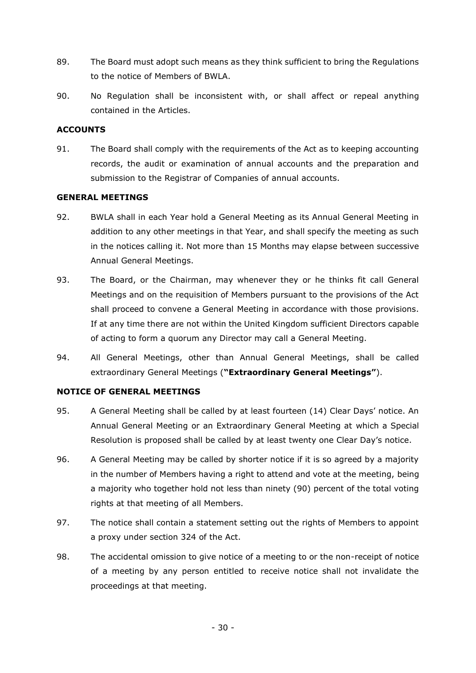- 89. The Board must adopt such means as they think sufficient to bring the Regulations to the notice of Members of BWLA.
- 90. No Regulation shall be inconsistent with, or shall affect or repeal anything contained in the Articles.

# **ACCOUNTS**

91. The Board shall comply with the requirements of the Act as to keeping accounting records, the audit or examination of annual accounts and the preparation and submission to the Registrar of Companies of annual accounts.

#### **GENERAL MEETINGS**

- 92. BWLA shall in each Year hold a General Meeting as its Annual General Meeting in addition to any other meetings in that Year, and shall specify the meeting as such in the notices calling it. Not more than 15 Months may elapse between successive Annual General Meetings.
- 93. The Board, or the Chairman, may whenever they or he thinks fit call General Meetings and on the requisition of Members pursuant to the provisions of the Act shall proceed to convene a General Meeting in accordance with those provisions. If at any time there are not within the United Kingdom sufficient Directors capable of acting to form a quorum any Director may call a General Meeting.
- 94. All General Meetings, other than Annual General Meetings, shall be called extraordinary General Meetings (**"Extraordinary General Meetings"**).

# **NOTICE OF GENERAL MEETINGS**

- 95. A General Meeting shall be called by at least fourteen (14) Clear Days' notice. An Annual General Meeting or an Extraordinary General Meeting at which a Special Resolution is proposed shall be called by at least twenty one Clear Day's notice.
- 96. A General Meeting may be called by shorter notice if it is so agreed by a majority in the number of Members having a right to attend and vote at the meeting, being a majority who together hold not less than ninety (90) percent of the total voting rights at that meeting of all Members.
- 97. The notice shall contain a statement setting out the rights of Members to appoint a proxy under section 324 of the Act.
- 98. The accidental omission to give notice of a meeting to or the non-receipt of notice of a meeting by any person entitled to receive notice shall not invalidate the proceedings at that meeting.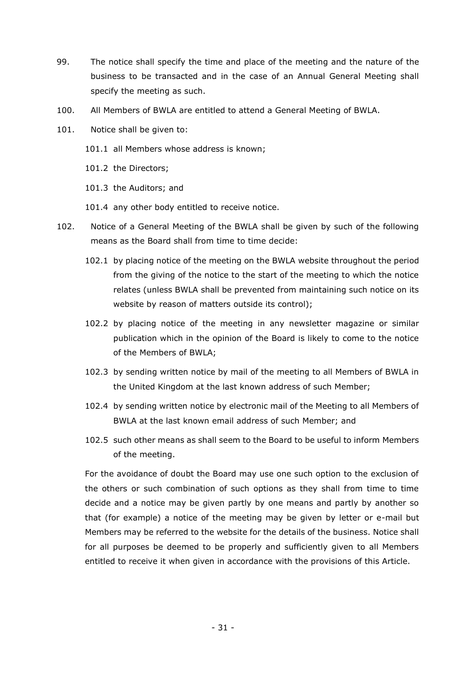- 99. The notice shall specify the time and place of the meeting and the nature of the business to be transacted and in the case of an Annual General Meeting shall specify the meeting as such.
- 100. All Members of BWLA are entitled to attend a General Meeting of BWLA.
- 101. Notice shall be given to:
	- 101.1 all Members whose address is known;
	- 101.2 the Directors;
	- 101.3 the Auditors; and
	- 101.4 any other body entitled to receive notice.
- 102. Notice of a General Meeting of the BWLA shall be given by such of the following means as the Board shall from time to time decide:
	- 102.1 by placing notice of the meeting on the BWLA website throughout the period from the giving of the notice to the start of the meeting to which the notice relates (unless BWLA shall be prevented from maintaining such notice on its website by reason of matters outside its control);
	- 102.2 by placing notice of the meeting in any newsletter magazine or similar publication which in the opinion of the Board is likely to come to the notice of the Members of BWLA;
	- 102.3 by sending written notice by mail of the meeting to all Members of BWLA in the United Kingdom at the last known address of such Member;
	- 102.4 by sending written notice by electronic mail of the Meeting to all Members of BWLA at the last known email address of such Member; and
	- 102.5 such other means as shall seem to the Board to be useful to inform Members of the meeting.

For the avoidance of doubt the Board may use one such option to the exclusion of the others or such combination of such options as they shall from time to time decide and a notice may be given partly by one means and partly by another so that (for example) a notice of the meeting may be given by letter or e-mail but Members may be referred to the website for the details of the business. Notice shall for all purposes be deemed to be properly and sufficiently given to all Members entitled to receive it when given in accordance with the provisions of this Article.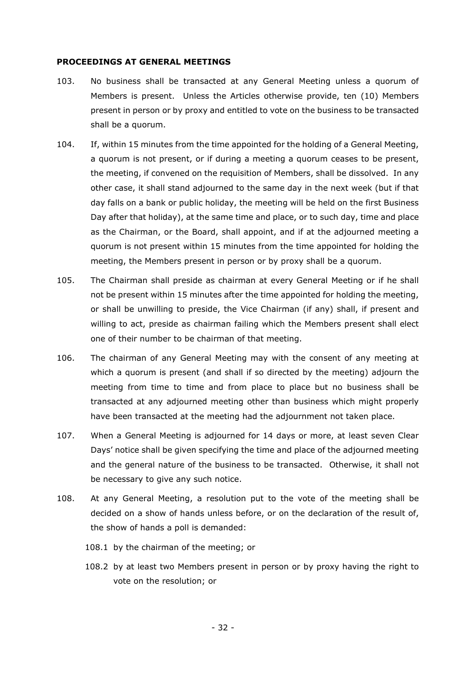#### **PROCEEDINGS AT GENERAL MEETINGS**

- 103. No business shall be transacted at any General Meeting unless a quorum of Members is present. Unless the Articles otherwise provide, ten (10) Members present in person or by proxy and entitled to vote on the business to be transacted shall be a quorum.
- 104. If, within 15 minutes from the time appointed for the holding of a General Meeting, a quorum is not present, or if during a meeting a quorum ceases to be present, the meeting, if convened on the requisition of Members, shall be dissolved. In any other case, it shall stand adjourned to the same day in the next week (but if that day falls on a bank or public holiday, the meeting will be held on the first Business Day after that holiday), at the same time and place, or to such day, time and place as the Chairman, or the Board, shall appoint, and if at the adjourned meeting a quorum is not present within 15 minutes from the time appointed for holding the meeting, the Members present in person or by proxy shall be a quorum.
- 105. The Chairman shall preside as chairman at every General Meeting or if he shall not be present within 15 minutes after the time appointed for holding the meeting, or shall be unwilling to preside, the Vice Chairman (if any) shall, if present and willing to act, preside as chairman failing which the Members present shall elect one of their number to be chairman of that meeting.
- 106. The chairman of any General Meeting may with the consent of any meeting at which a quorum is present (and shall if so directed by the meeting) adjourn the meeting from time to time and from place to place but no business shall be transacted at any adjourned meeting other than business which might properly have been transacted at the meeting had the adjournment not taken place.
- 107. When a General Meeting is adjourned for 14 days or more, at least seven Clear Days' notice shall be given specifying the time and place of the adjourned meeting and the general nature of the business to be transacted. Otherwise, it shall not be necessary to give any such notice.
- 108. At any General Meeting, a resolution put to the vote of the meeting shall be decided on a show of hands unless before, or on the declaration of the result of, the show of hands a poll is demanded:
	- 108.1 by the chairman of the meeting; or
	- 108.2 by at least two Members present in person or by proxy having the right to vote on the resolution; or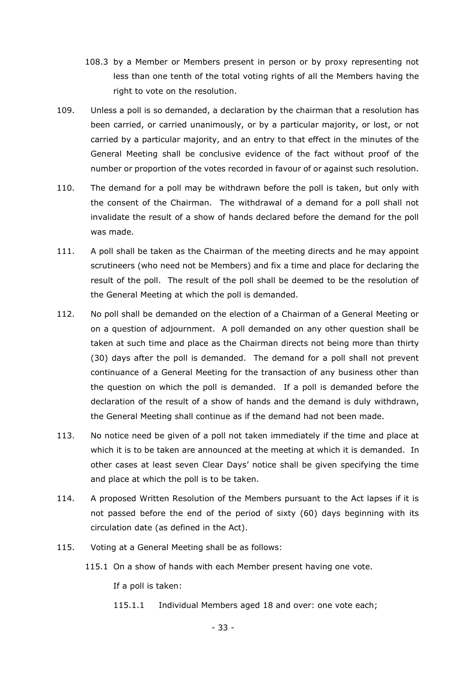- 108.3 by a Member or Members present in person or by proxy representing not less than one tenth of the total voting rights of all the Members having the right to vote on the resolution.
- 109. Unless a poll is so demanded, a declaration by the chairman that a resolution has been carried, or carried unanimously, or by a particular majority, or lost, or not carried by a particular majority, and an entry to that effect in the minutes of the General Meeting shall be conclusive evidence of the fact without proof of the number or proportion of the votes recorded in favour of or against such resolution.
- 110. The demand for a poll may be withdrawn before the poll is taken, but only with the consent of the Chairman. The withdrawal of a demand for a poll shall not invalidate the result of a show of hands declared before the demand for the poll was made.
- 111. A poll shall be taken as the Chairman of the meeting directs and he may appoint scrutineers (who need not be Members) and fix a time and place for declaring the result of the poll. The result of the poll shall be deemed to be the resolution of the General Meeting at which the poll is demanded.
- 112. No poll shall be demanded on the election of a Chairman of a General Meeting or on a question of adjournment. A poll demanded on any other question shall be taken at such time and place as the Chairman directs not being more than thirty (30) days after the poll is demanded. The demand for a poll shall not prevent continuance of a General Meeting for the transaction of any business other than the question on which the poll is demanded. If a poll is demanded before the declaration of the result of a show of hands and the demand is duly withdrawn, the General Meeting shall continue as if the demand had not been made.
- 113. No notice need be given of a poll not taken immediately if the time and place at which it is to be taken are announced at the meeting at which it is demanded. In other cases at least seven Clear Days' notice shall be given specifying the time and place at which the poll is to be taken.
- 114. A proposed Written Resolution of the Members pursuant to the Act lapses if it is not passed before the end of the period of sixty (60) days beginning with its circulation date (as defined in the Act).
- 115. Voting at a General Meeting shall be as follows:
	- 115.1 On a show of hands with each Member present having one vote.

If a poll is taken:

115.1.1 Individual Members aged [18](#page-15-0) and over: one vote each;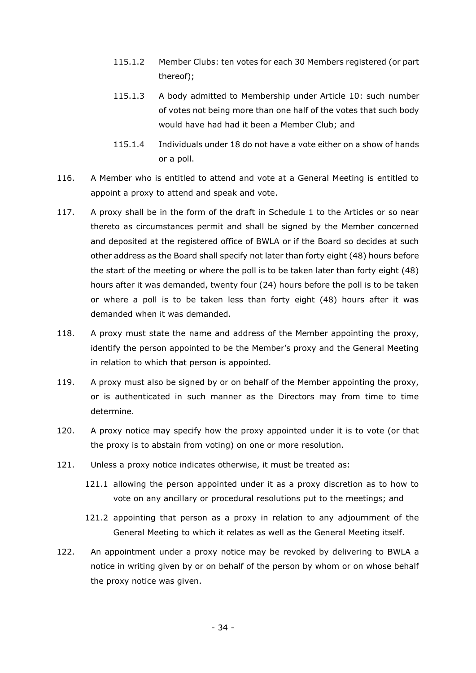- 115.1.2 Member Clubs: ten votes for each [30](#page-17-3) Members registered (or part thereof);
- 115.1.3 A body admitted to Membership under Article [10:](#page-14-0) such number of votes not being more than one half of the votes that such body would have had had it been a Member Club; and
- 115.1.4 Individuals under [18](#page-15-0) do not have a vote either on a show of hands or a poll.
- 116. A Member who is entitled to attend and vote at a General Meeting is entitled to appoint a proxy to attend and speak and vote.
- 117. A proxy shall be in the form of the draft in Schedule 1 to the Articles or so near thereto as circumstances permit and shall be signed by the Member concerned and deposited at the registered office of BWLA or if the Board so decides at such other address as the Board shall specify not later than forty eight (48) hours before the start of the meeting or where the poll is to be taken later than forty eight (48) hours after it was demanded, twenty four (24) hours before the poll is to be taken or where a poll is to be taken less than forty eight (48) hours after it was demanded when it was demanded.
- 118. A proxy must state the name and address of the Member appointing the proxy, identify the person appointed to be the Member's proxy and the General Meeting in relation to which that person is appointed.
- 119. A proxy must also be signed by or on behalf of the Member appointing the proxy, or is authenticated in such manner as the Directors may from time to time determine.
- 120. A proxy notice may specify how the proxy appointed under it is to vote (or that the proxy is to abstain from voting) on one or more resolution.
- 121. Unless a proxy notice indicates otherwise, it must be treated as:
	- 121.1 allowing the person appointed under it as a proxy discretion as to how to vote on any ancillary or procedural resolutions put to the meetings; and
	- 121.2 appointing that person as a proxy in relation to any adjournment of the General Meeting to which it relates as well as the General Meeting itself.
- 122. An appointment under a proxy notice may be revoked by delivering to BWLA a notice in writing given by or on behalf of the person by whom or on whose behalf the proxy notice was given.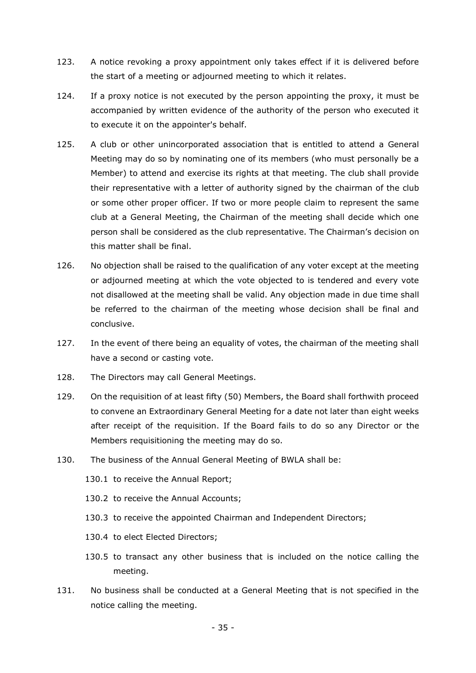- 123. A notice revoking a proxy appointment only takes effect if it is delivered before the start of a meeting or adjourned meeting to which it relates.
- 124. If a proxy notice is not executed by the person appointing the proxy, it must be accompanied by written evidence of the authority of the person who executed it to execute it on the appointer's behalf.
- 125. A club or other unincorporated association that is entitled to attend a General Meeting may do so by nominating one of its members (who must personally be a Member) to attend and exercise its rights at that meeting. The club shall provide their representative with a letter of authority signed by the chairman of the club or some other proper officer. If two or more people claim to represent the same club at a General Meeting, the Chairman of the meeting shall decide which one person shall be considered as the club representative. The Chairman's decision on this matter shall be final.
- 126. No objection shall be raised to the qualification of any voter except at the meeting or adjourned meeting at which the vote objected to is tendered and every vote not disallowed at the meeting shall be valid. Any objection made in due time shall be referred to the chairman of the meeting whose decision shall be final and conclusive.
- 127. In the event of there being an equality of votes, the chairman of the meeting shall have a second or casting vote.
- 128. The Directors may call General Meetings.
- 129. On the requisition of at least fifty (50) Members, the Board shall forthwith proceed to convene an Extraordinary General Meeting for a date not later than eight weeks after receipt of the requisition. If the Board fails to do so any Director or the Members requisitioning the meeting may do so.
- 130. The business of the Annual General Meeting of BWLA shall be:
	- 130.1 to receive the Annual Report;
	- 130.2 to receive the Annual Accounts;
	- 130.3 to receive the appointed Chairman and Independent Directors;
	- 130.4 to elect Elected Directors;
	- 130.5 to transact any other business that is included on the notice calling the meeting.
- 131. No business shall be conducted at a General Meeting that is not specified in the notice calling the meeting.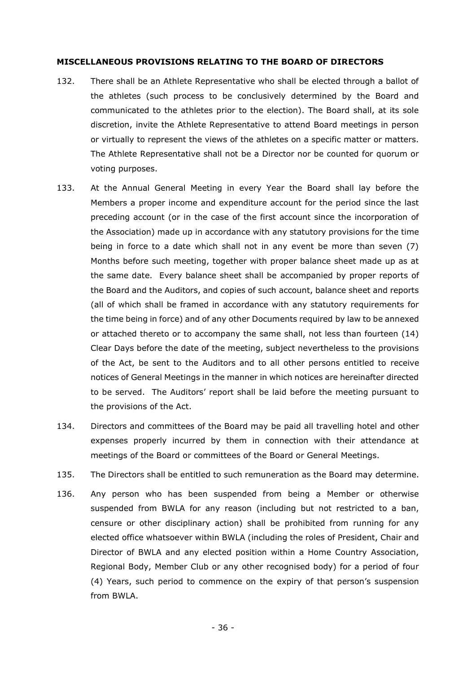#### **MISCELLANEOUS PROVISIONS RELATING TO THE BOARD OF DIRECTORS**

- <span id="page-35-0"></span>132. There shall be an Athlete Representative who shall be elected through a ballot of the athletes (such process to be conclusively determined by the Board and communicated to the athletes prior to the election). The Board shall, at its sole discretion, invite the Athlete Representative to attend Board meetings in person or virtually to represent the views of the athletes on a specific matter or matters. The Athlete Representative shall not be a Director nor be counted for quorum or voting purposes.
- 133. At the Annual General Meeting in every Year the Board shall lay before the Members a proper income and expenditure account for the period since the last preceding account (or in the case of the first account since the incorporation of the Association) made up in accordance with any statutory provisions for the time being in force to a date which shall not in any event be more than seven (7) Months before such meeting, together with proper balance sheet made up as at the same date. Every balance sheet shall be accompanied by proper reports of the Board and the Auditors, and copies of such account, balance sheet and reports (all of which shall be framed in accordance with any statutory requirements for the time being in force) and of any other Documents required by law to be annexed or attached thereto or to accompany the same shall, not less than fourteen (14) Clear Days before the date of the meeting, subject nevertheless to the provisions of the Act, be sent to the Auditors and to all other persons entitled to receive notices of General Meetings in the manner in which notices are hereinafter directed to be served. The Auditors' report shall be laid before the meeting pursuant to the provisions of the Act.
- 134. Directors and committees of the Board may be paid all travelling hotel and other expenses properly incurred by them in connection with their attendance at meetings of the Board or committees of the Board or General Meetings.
- 135. The Directors shall be entitled to such remuneration as the Board may determine.
- 136. Any person who has been suspended from being a Member or otherwise suspended from BWLA for any reason (including but not restricted to a ban, censure or other disciplinary action) shall be prohibited from running for any elected office whatsoever within BWLA (including the roles of President, Chair and Director of BWLA and any elected position within a Home Country Association, Regional Body, Member Club or any other recognised body) for a period of four (4) Years, such period to commence on the expiry of that person's suspension from BWLA.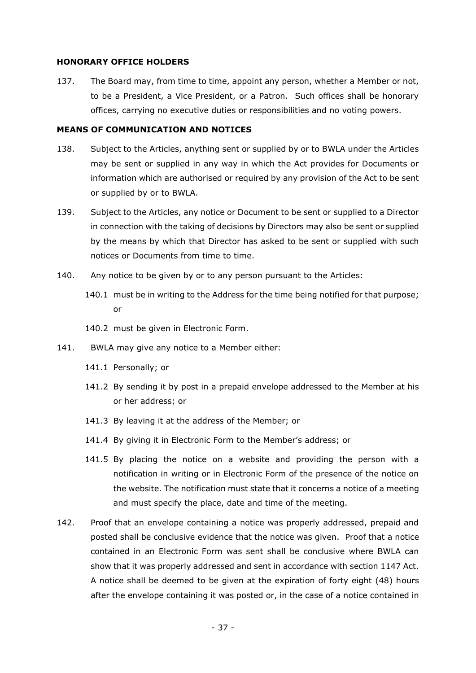#### **HONORARY OFFICE HOLDERS**

<span id="page-36-0"></span>137. The Board may, from time to time, appoint any person, whether a Member or not, to be a President, a Vice President, or a Patron. Such offices shall be honorary offices, carrying no executive duties or responsibilities and no voting powers.

#### **MEANS OF COMMUNICATION AND NOTICES**

- 138. Subject to the Articles, anything sent or supplied by or to BWLA under the Articles may be sent or supplied in any way in which the Act provides for Documents or information which are authorised or required by any provision of the Act to be sent or supplied by or to BWLA.
- 139. Subject to the Articles, any notice or Document to be sent or supplied to a Director in connection with the taking of decisions by Directors may also be sent or supplied by the means by which that Director has asked to be sent or supplied with such notices or Documents from time to time.
- 140. Any notice to be given by or to any person pursuant to the Articles:
	- 140.1 must be in writing to the Address for the time being notified for that purpose; or
	- 140.2 must be given in Electronic Form.
- 141. BWLA may give any notice to a Member either:
	- 141.1 Personally; or
	- 141.2 By sending it by post in a prepaid envelope addressed to the Member at his or her address; or
	- 141.3 By leaving it at the address of the Member; or
	- 141.4 By giving it in Electronic Form to the Member's address; or
	- 141.5 By placing the notice on a website and providing the person with a notification in writing or in Electronic Form of the presence of the notice on the website. The notification must state that it concerns a notice of a meeting and must specify the place, date and time of the meeting.
- 142. Proof that an envelope containing a notice was properly addressed, prepaid and posted shall be conclusive evidence that the notice was given. Proof that a notice contained in an Electronic Form was sent shall be conclusive where BWLA can show that it was properly addressed and sent in accordance with section 1147 Act. A notice shall be deemed to be given at the expiration of forty eight (48) hours after the envelope containing it was posted or, in the case of a notice contained in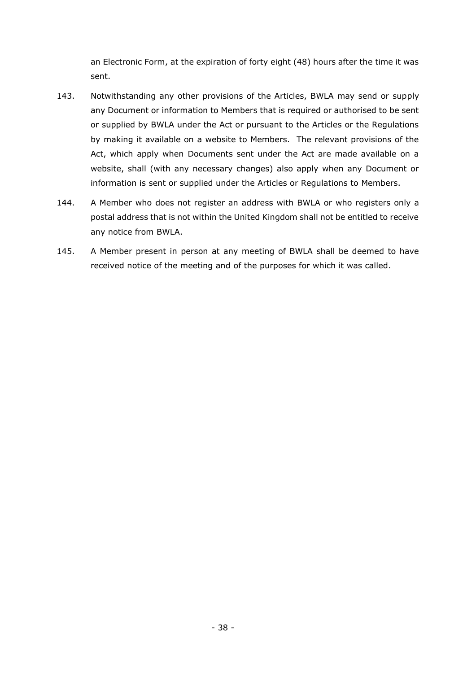an Electronic Form, at the expiration of forty eight (48) hours after the time it was sent.

- 143. Notwithstanding any other provisions of the Articles, BWLA may send or supply any Document or information to Members that is required or authorised to be sent or supplied by BWLA under the Act or pursuant to the Articles or the Regulations by making it available on a website to Members. The relevant provisions of the Act, which apply when Documents sent under the Act are made available on a website, shall (with any necessary changes) also apply when any Document or information is sent or supplied under the Articles or Regulations to Members.
- 144. A Member who does not register an address with BWLA or who registers only a postal address that is not within the United Kingdom shall not be entitled to receive any notice from BWLA.
- 145. A Member present in person at any meeting of BWLA shall be deemed to have received notice of the meeting and of the purposes for which it was called.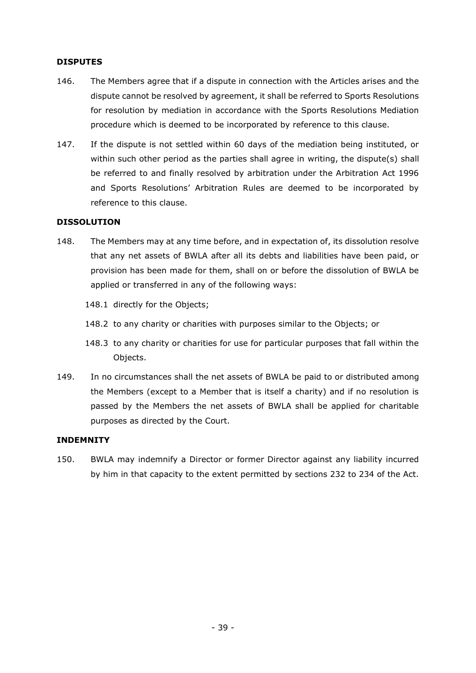# **DISPUTES**

- 146. The Members agree that if a dispute in connection with the Articles arises and the dispute cannot be resolved by agreement, it shall be referred to Sports Resolutions for resolution by mediation in accordance with the Sports Resolutions Mediation procedure which is deemed to be incorporated by reference to this clause.
- 147. If the dispute is not settled within 60 days of the mediation being instituted, or within such other period as the parties shall agree in writing, the dispute(s) shall be referred to and finally resolved by arbitration under the Arbitration Act 1996 and Sports Resolutions' Arbitration Rules are deemed to be incorporated by reference to this clause.

### **DISSOLUTION**

- 148. The Members may at any time before, and in expectation of, its dissolution resolve that any net assets of BWLA after all its debts and liabilities have been paid, or provision has been made for them, shall on or before the dissolution of BWLA be applied or transferred in any of the following ways:
	- 148.1 directly for the Objects;
	- 148.2 to any charity or charities with purposes similar to the Objects; or
	- 148.3 to any charity or charities for use for particular purposes that fall within the Objects.
- 149. In no circumstances shall the net assets of BWLA be paid to or distributed among the Members (except to a Member that is itself a charity) and if no resolution is passed by the Members the net assets of BWLA shall be applied for charitable purposes as directed by the Court.

### **INDEMNITY**

150. BWLA may indemnify a Director or former Director against any liability incurred by him in that capacity to the extent permitted by sections 232 to 234 of the Act.